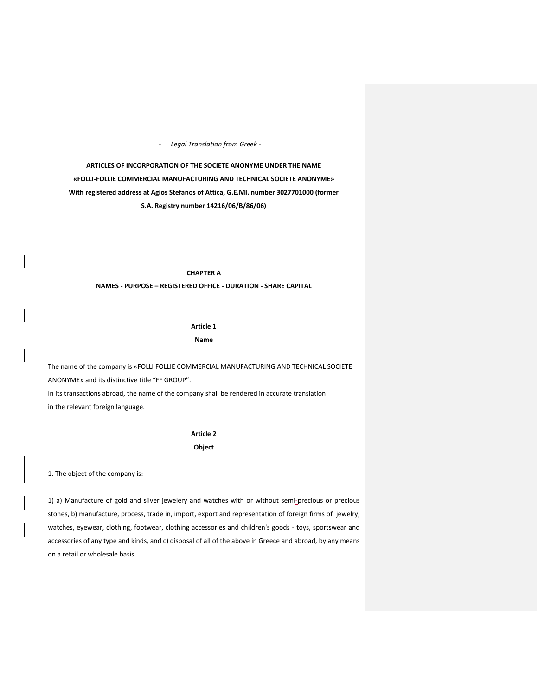- *Legal Translation from Greek -*

**ARTICLES OF INCORPORATION OF THE SOCIETE ANONYME UNDER THE NAME «FOLLI-FOLLIE COMMERCIAL MANUFACTURING AND TECHNICAL SOCIETE ANONYME» With registered address at Agios Stefanos of Attica, G.E.MI. number 3027701000 (former S.A. Registry number 14216/06/Β/86/06)**

# **CHAPTER A**

# **NAMES - PURPOSE – REGISTERED OFFICE - DURATION - SHARE CAPITAL**

# **Article 1 Name**

The name of the company is «FOLLI FOLLIE COMMERCIAL MANUFACTURING AND TECHNICAL SOCIETE ANONYME» and its distinctive title "FF GROUP". In its transactions abroad, the name of the company shall be rendered in accurate translation in the relevant foreign language.

# **Article 2 Object**

1. The object of the company is:

1) a) Manufacture of gold and silver jewelery and watches with or without semi-precious or precious stones, b) manufacture, process, trade in, import, export and representation of foreign firms of jewelry, watches, eyewear, clothing, footwear, clothing accessories and children's goods - toys, sportswear and accessories of any type and kinds, and c) disposal of all of the above in Greece and abroad, by any means on a retail or wholesale basis.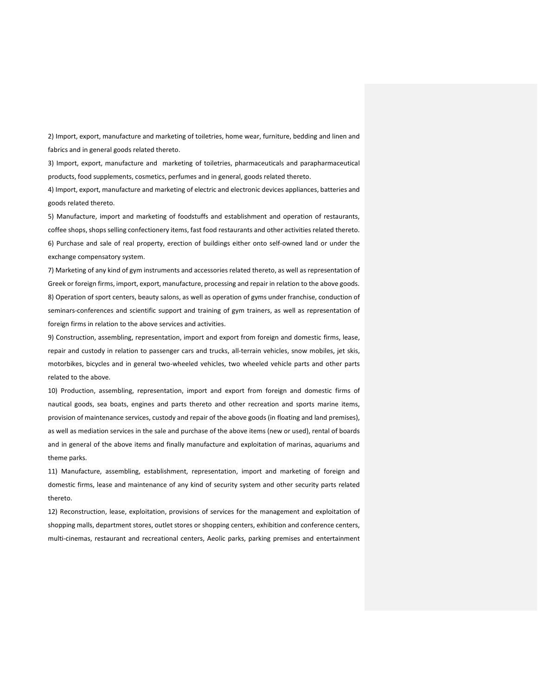2) Import, export, manufacture and marketing of toiletries, home wear, furniture, bedding and linen and fabrics and in general goods related thereto.

3) Import, export, manufacture and marketing of toiletries, pharmaceuticals and parapharmaceutical products, food supplements, cosmetics, perfumes and in general, goods related thereto.

4) Import, export, manufacture and marketing of electric and electronic devices appliances, batteries and goods related thereto.

5) Manufacture, import and marketing of foodstuffs and establishment and operation of restaurants, coffee shops, shops selling confectionery items, fast food restaurants and other activities related thereto. 6) Purchase and sale of real property, erection of buildings either onto self-owned land or under the exchange compensatory system.

7) Marketing of any kind of gym instruments and accessories related thereto, as well as representation of Greek or foreign firms, import, export, manufacture, processing and repair in relation to the above goods. 8) Operation of sport centers, beauty salons, as well as operation of gyms under franchise, conduction of seminars-conferences and scientific support and training of gym trainers, as well as representation of foreign firms in relation to the above services and activities.

9) Construction, assembling, representation, import and export from foreign and domestic firms, lease, repair and custody in relation to passenger cars and trucks, all-terrain vehicles, snow mobiles, jet skis, motorbikes, bicycles and in general two-wheeled vehicles, two wheeled vehicle parts and other parts related to the above.

10) Production, assembling, representation, import and export from foreign and domestic firms of nautical goods, sea boats, engines and parts thereto and other recreation and sports marine items, provision of maintenance services, custody and repair of the above goods (in floating and land premises), as well as mediation services in the sale and purchase of the above items (new or used), rental of boards and in general of the above items and finally manufacture and exploitation of marinas, aquariums and theme parks.

11) Manufacture, assembling, establishment, representation, import and marketing of foreign and domestic firms, lease and maintenance of any kind of security system and other security parts related thereto.

12) Reconstruction, lease, exploitation, provisions of services for the management and exploitation of shopping malls, department stores, outlet stores or shopping centers, exhibition and conference centers, multi-cinemas, restaurant and recreational centers, Aeolic parks, parking premises and entertainment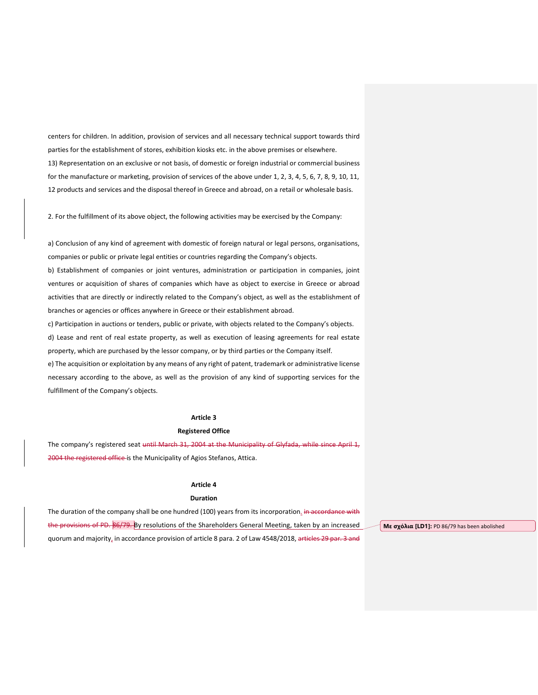centers for children. In addition, provision of services and all necessary technical support towards third parties for the establishment of stores, exhibition kiosks etc. in the above premises or elsewhere. 13) Representation on an exclusive or not basis, of domestic or foreign industrial or commercial business for the manufacture or marketing, provision of services of the above under 1, 2, 3, 4, 5, 6, 7, 8, 9, 10, 11, 12 products and services and the disposal thereof in Greece and abroad, on a retail or wholesale basis.

2. For the fulfillment of its above object, the following activities may be exercised by the Company:

a) Conclusion of any kind of agreement with domestic of foreign natural or legal persons, organisations, companies or public or private legal entities or countries regarding the Company's objects.

b) Establishment of companies or joint ventures, administration or participation in companies, joint ventures or acquisition of shares of companies which have as object to exercise in Greece or abroad activities that are directly or indirectly related to the Company's object, as well as the establishment of branches or agencies or offices anywhere in Greece or their establishment abroad.

c) Participation in auctions or tenders, public or private, with objects related to the Company's objects. d) Lease and rent of real estate property, as well as execution of leasing agreements for real estate property, which are purchased by the lessor company, or by third parties or the Company itself. e) The acquisition or exploitation by any means of any right of patent, trademark or administrative license

necessary according to the above, as well as the provision of any kind of supporting services for the fulfillment of the Company's objects.

# **Article 3**

# **Registered Office**

The company's registered seat until March 31, 2004 at the Municipality of Glyfada, while since April 1, 2004 the registered office is the Municipality of Agios Stefanos, Attica.

# **Article 4**

# **Duration**

The duration of the company shall be one hundred (100) years from its incorporation. in accordance with the provisions of PD. 86/79. By resolutions of the Shareholders General Meeting, taken by an increased quorum and majority, in accordance provision of article 8 para. 2 of Law 4548/2018, articles 29 par. 3 and

**Με σχόλια [LD1]:** PD 86/79 has been abolished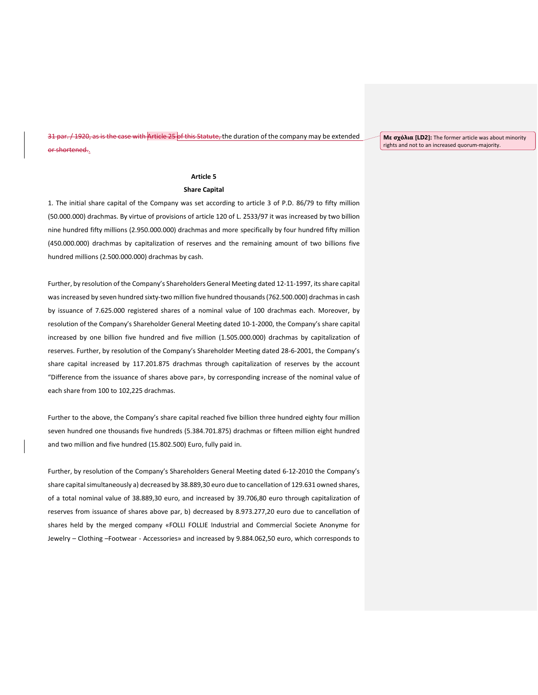/1920, as is the case with Article 25 of this Statute, the duration of the company may be extended or shortened..

**Με σχόλια [LD2]:** The former article was about minority rights and not to an increased quorum-majority.

# **Article 5**

# **Share Capital**

1. The initial share capital of the Company was set according to article 3 of P.D. 86/79 to fifty million (50.000.000) drachmas. By virtue of provisions of article 120 of L. 2533/97 it was increased by two billion nine hundred fifty millions (2.950.000.000) drachmas and more specifically by four hundred fifty million (450.000.000) drachmas by capitalization of reserves and the remaining amount of two billions five hundred millions (2.500.000.000) drachmas by cash.

Further, by resolution of the Company's Shareholders General Meeting dated 12-11-1997, its share capital was increased by seven hundred sixty-two million five hundred thousands(762.500.000) drachmas in cash by issuance of 7.625.000 registered shares of a nominal value of 100 drachmas each. Moreover, by resolution of the Company's Shareholder General Meeting dated 10-1-2000, the Company's share capital increased by one billion five hundred and five million (1.505.000.000) drachmas by capitalization of reserves. Further, by resolution of the Company's Shareholder Meeting dated 28-6-2001, the Company's share capital increased by 117.201.875 drachmas through capitalization of reserves by the account "Difference from the issuance of shares above par», by corresponding increase of the nominal value of each share from 100 to 102,225 drachmas.

Further to the above, the Company's share capital reached five billion three hundred eighty four million seven hundred one thousands five hundreds (5.384.701.875) drachmas or fifteen million eight hundred and two million and five hundred (15.802.500) Euro, fully paid in.

Further, by resolution of the Company's Shareholders General Meeting dated 6-12-2010 the Company's share capital simultaneously a) decreased by 38.889,30 euro due to cancellation of 129.631 owned shares, of a total nominal value of 38.889,30 euro, and increased by 39.706,80 euro through capitalization of reserves from issuance of shares above par, b) decreased by 8.973.277,20 euro due to cancellation of shares held by the merged company «FOLLI FOLLIE Industrial and Commercial Societe Anonyme for Jewelry – Clothing –Footwear - Accessories» and increased by 9.884.062,50 euro, which corresponds to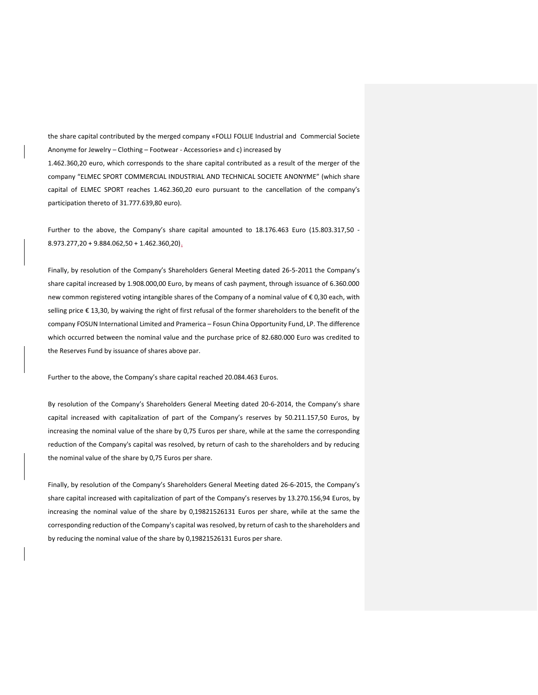the share capital contributed by the merged company «FOLLI FOLLIE Industrial and Commercial Societe Anonyme for Jewelry – Clothing – Footwear - Accessories» and c) increased by

1.462.360,20 euro, which corresponds to the share capital contributed as a result of the merger of the company "ELMEC SPORT COMMERCIAL INDUSTRIAL AND TECHNICAL SOCIETE ANONYME" (which share capital of ELMEC SPORT reaches 1.462.360,20 euro pursuant to the cancellation of the company's participation thereto of 31.777.639,80 euro).

Further to the above, the Company's share capital amounted to 18.176.463 Euro (15.803.317,50 - $8.973.277,20 + 9.884.062,50 + 1.462.360,20$ .

Finally, by resolution of the Company's Shareholders General Meeting dated 26-5-2011 the Company's share capital increased by 1.908.000,00 Euro, by means of cash payment, through issuance of 6.360.000 new common registered voting intangible shares of the Company of a nominal value of €0,30 each, with selling price € 13,30, by waiving the right of first refusal of the former shareholders to the benefit of the company FOSUN International Limited and Pramerica – Fosun China Opportunity Fund, LP. The difference which occurred between the nominal value and the purchase price of 82.680.000 Euro was credited to the Reserves Fund by issuance of shares above par.

Further to the above, the Company's share capital reached 20.084.463 Euros.

By resolution of the Company's Shareholders General Meeting dated 20-6-2014, the Company's share capital increased with capitalization of part of the Company's reserves by 50.211.157,50 Euros, by increasing the nominal value of the share by 0,75 Euros per share, while at the same the corresponding reduction of the Company's capital was resolved, by return of cash to the shareholders and by reducing the nominal value of the share by 0,75 Euros per share.

Finally, by resolution of the Company's Shareholders General Meeting dated 26-6-2015, the Company's share capital increased with capitalization of part of the Company's reserves by 13.270.156,94 Euros, by increasing the nominal value of the share by 0,19821526131 Euros per share, while at the same the corresponding reduction of the Company's capital was resolved, by return of cash to the shareholders and by reducing the nominal value of the share by 0,19821526131 Euros per share.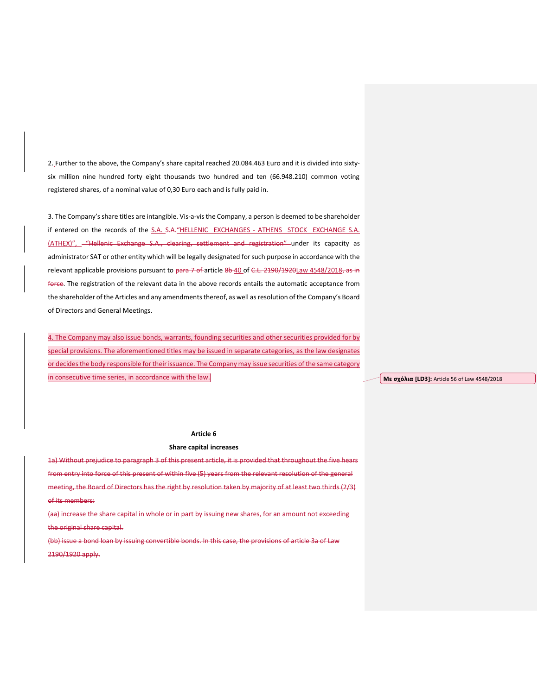2. Further to the above, the Company's share capital reached 20.084.463 Euro and it is divided into sixtysix million nine hundred forty eight thousands two hundred and ten (66.948.210) common voting registered shares, of a nominal value of 0,30 Euro each and is fully paid in.

3. The Company's share titles are intangible. Vis-a-vis the Company, a person is deemed to be shareholder if entered on the records of the S.A. S.A. "HELLENIC EXCHANGES - ATHENS STOCK EXCHANGE S.A. (ATHEX)", - "Hellenic Exchange S.A., clearing, settlement and registration" under its capacity as administrator SAT or other entity which will be legally designated for such purpose in accordance with the relevant applicable provisions pursuant to para 7 of article 8b 40 of C.L. 2190/1920Law 4548/2018, as in force. The registration of the relevant data in the above records entails the automatic acceptance from the shareholder of the Articles and any amendments thereof, as well as resolution of the Company's Board of Directors and General Meetings.

4. The Company may also issue bonds, warrants, founding securities and other securities provided for by special provisions. The aforementioned titles may be issued in separate categories, as the law designates or decides the body responsible for their issuance. The Company may issue securities of the same category in consecutive time series, in accordance with the law.

**Με σχόλια [LD3]:** Article 56 of Law 4548/2018

# **Article 6**

#### **Share capital increases**

1a) Without prejudice to paragraph 3 of this present article, it is provided that throughout the five hears from entry into force of this present of within five (5) years from the relevant resolution of the gen meeting, the Board of Directors has the right by resolution taken by majority of at least two thirds (2/3) of its members:

(aa) increase the share capital in whole or in part by issuing new shares, for an amount not exceeding the original share capital.

(bb) issue a bond loan by issuing convertible bonds. In this case, the provisions of article 3a of Law 2190/1920 apply.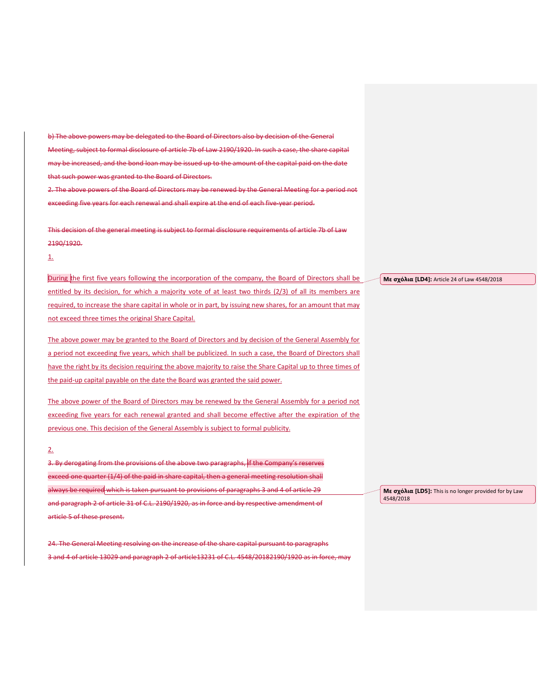b) The above powers may be delegated to the Board of Directors also by decision of the General Meeting, subject to formal disclosure of article 7b of Law 2190/1920. In such a case, the share capital may be increased, and the bond loan may be issued up to the amount of the capital paid on the date that such power was granted to the Board of Directors. 2. The above powers of the Board of Directors may be renewed by the General Meeting for a period not

exceeding five years for each renewal and shall expire at the end of each five-year period.

This decision of the general meeting is subject to formal disclosure requirements of article 7b of Law 2190/1920.

1.

During the first five years following the incorporation of the company, the Board of Directors shall be entitled by its decision, for which a majority vote of at least two thirds (2/3) of all its members are required, to increase the share capital in whole or in part, by issuing new shares, for an amount that may not exceed three times the original Share Capital.

The above power may be granted to the Board of Directors and by decision of the General Assembly for a period not exceeding five years, which shall be publicized. In such a case, the Board of Directors shall have the right by its decision requiring the above majority to raise the Share Capital up to three times of the paid-up capital payable on the date the Board was granted the said power.

The above power of the Board of Directors may be renewed by the General Assembly for a period not exceeding five years for each renewal granted and shall become effective after the expiration of the previous one. This decision of the General Assembly is subject to formal publicity.

# 2.

3. By derogating from the provisions of the above two paragraphs, if the Company's reserves exceed one quarter (1/4) of the paid in share capital, then a general meeting resolution shall always be required which is taken pursuant to provisions of paragraphs 3 and 4 of article 29 and paragraph 2 of article 31 of C.L. 2190/1920, as in force and by respective amendment of article 5 of these present.

24. The General Meeting resolving on the increase of the share capital pursuant to paragraphs 3 and 4 of article 13029 and paragraph 2 of article13231 of C.L. 4548/20182190/1920 as in force, may **Με σχόλια [LD4]:** Article 24 of Law 4548/2018

**Με σχόλια [LD5]:** This is no longer provided for by Law 4548/2018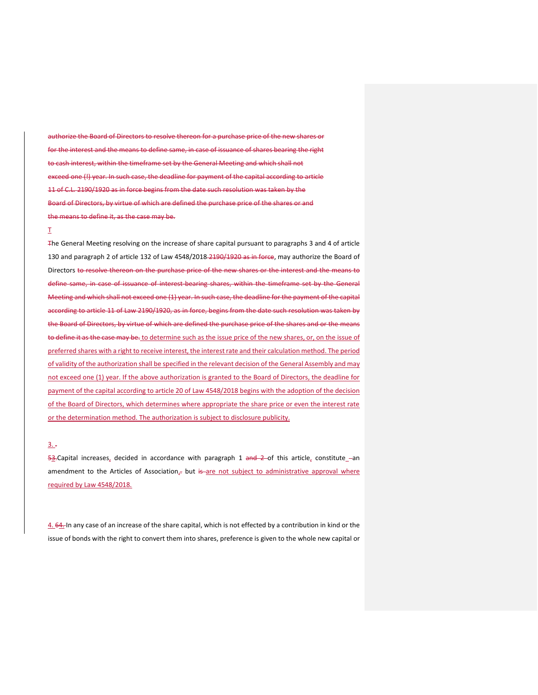authorize the Board of Directors to resolve thereon for a purchase price of the new shares or for the interest and the means to define same, in case of issuance of shares bearing the right to cash interest, within the timeframe set by the General Meeting and which shall not exceed one (!) year. In such case, the deadline for payment of the capital according to article 11 of C.L. 2190/1920 as in force begins from the date such resolution was taken by the Board of Directors, by virtue of which are defined the purchase price of the shares or and the means to define it, as the case may be.

# Τ

The General Meeting resolving on the increase of share capital pursuant to paragraphs 3 and 4 of article 130 and paragraph 2 of article 132 of Law 4548/2018-2190/1920 as in force, may authorize the Board of Directors to resolve thereon on the purchase price of the new shares or the interest and the means to define same, in case of issuance of interest bearing shares, within the timeframe set by the General Meeting and which shall not exceed one (1) year. In such case, the deadline for the payment of the capital according to article 11 of Law 2190/1920, as in force, begins from the date such resolution was taken by the Board of Directors, by virtue of which are defined the purchase price of the shares and or the means to define it as the case may be. to determine such as the issue price of the new shares, or, on the issue of preferred shares with a right to receive interest, the interest rate and their calculation method. The period of validity of the authorization shall be specified in the relevant decision of the General Assembly and may not exceed one (1) year. If the above authorization is granted to the Board of Directors, the deadline for payment of the capital according to article 20 of Law 4548/2018 begins with the adoption of the decision of the Board of Directors, which determines where appropriate the share price or even the interest rate or the determination method. The authorization is subject to disclosure publicity.

# $3.7$

 $53.$ Capital increases, decided in accordance with paragraph 1 and 2 of this article, constitute -an amendment to the Articles of Association<sub> $x$ </sub> but is are not subject to administrative approval where required by Law 4548/2018.

4. 64. In any case of an increase of the share capital, which is not effected by a contribution in kind or the issue of bonds with the right to convert them into shares, preference is given to the whole new capital or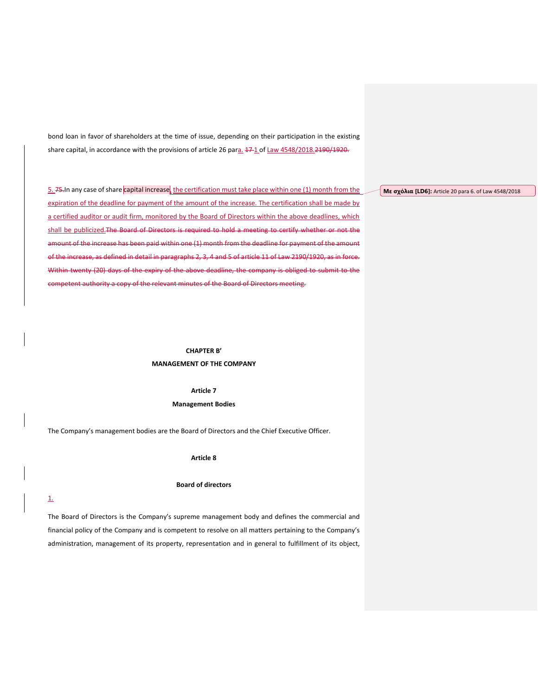bond loan in favor of shareholders at the time of issue, depending on their participation in the existing share capital, in accordance with the provisions of article 26 para. 17-1 of Law 4548/2018.2190/1920.

5. 75. In any case of share capital increase, the certification must take place within one (1) month from the expiration of the deadline for payment of the amount of the increase. The certification shall be made by a certified auditor or audit firm, monitored by the Board of Directors within the above deadlines, which shall be publicized. The Board of Directors is required to hold a meeting to certify whether or not the amount of the increase has been paid within one (1) month from the deadline for payment of the amount of the increase, as defined in detail in paragraphs 2, 3, 4 and 5 of article 11 of Law 2190/1920, as in force. Within twenty (20) days of the expiry of the above deadline, the company is obliged to submit to the competent authority a copy of the relevant minutes of the Board of Directors meeting.

> **CHAPTER B' MANAGEMENT OF THE COMPANY**

> > **Article 7 Management Bodies**

The Company's management bodies are the Board of Directors and the Chief Executive Officer.

**Article 8**

#### **Board of directors**

#### 1.

The Board of Directors is the Company's supreme management body and defines the commercial and financial policy of the Company and is competent to resolve on all matters pertaining to the Company's administration, management of its property, representation and in general to fulfillment of its object, **Με σχόλια [LD6]:** Article 20 para 6. of Law 4548/2018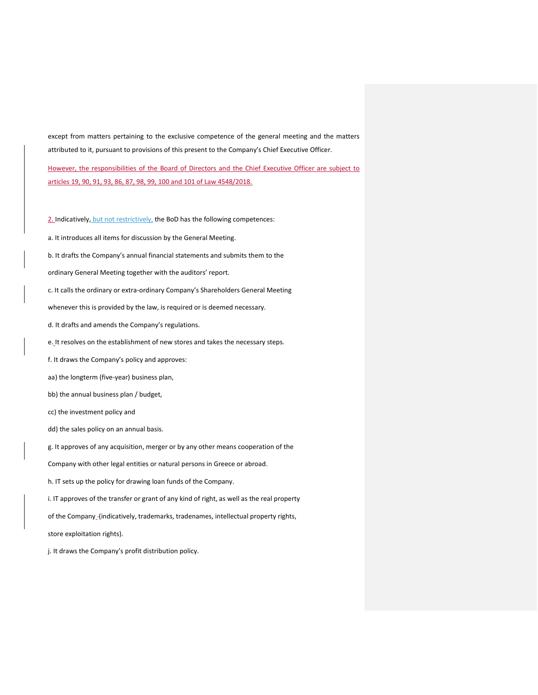except from matters pertaining to the exclusive competence of the general meeting and the matters attributed to it, pursuant to provisions of this present to the Company's Chief Executive Officer.

However, the responsibilities of the Board of Directors and the Chief Executive Officer are subject to articles 19, 90, 91, 93, 86, 87, 98, 99, 100 and 101 of Law 4548/2018.

2. Indicatively, but not restrictively, the BoD has the following competences:

a. It introduces all items for discussion by the General Meeting.

b. It drafts the Company's annual financial statements and submits them to the

ordinary General Meeting together with the auditors' report.

c. It calls the ordinary or extra-ordinary Company's Shareholders General Meeting

whenever this is provided by the law, is required or is deemed necessary.

d. It drafts and amends the Company's regulations.

e. It resolves on the establishment of new stores and takes the necessary steps.

f. It draws the Company's policy and approves:

aa) the longterm (five-year) business plan,

bb) the annual business plan / budget,

cc) the investment policy and

dd) the sales policy on an annual basis.

g. It approves of any acquisition, merger or by any other means cooperation of the

Company with other legal entities or natural persons in Greece or abroad.

h. IT sets up the policy for drawing loan funds of the Company.

i. IT approves of the transfer or grant of any kind of right, as well as the real property

of the Company\_-(indicatively, trademarks, tradenames, intellectual property rights,

store exploitation rights).

j. It draws the Company's profit distribution policy.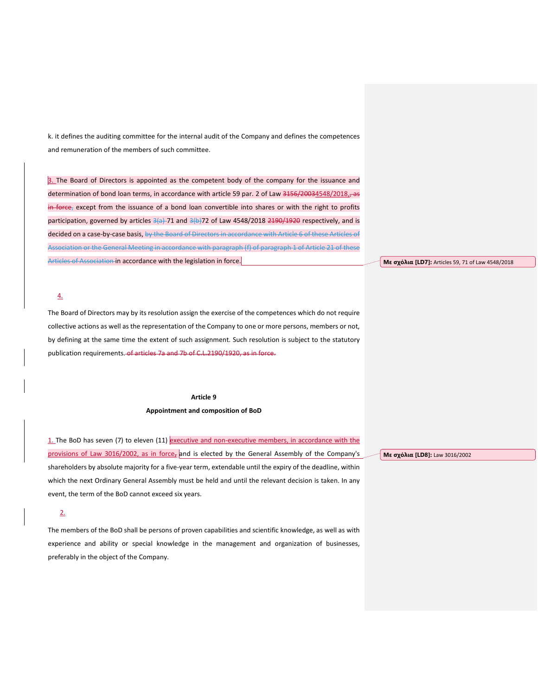k. it defines the auditing committee for the internal audit of the Company and defines the competences and remuneration of the members of such committee.

3. The Board of Directors is appointed as the competent body of the company for the issuance and determination of bond loan terms, in accordance with article 59 par. 2 of Law 3156/20034548/2018, as in force, except from the issuance of a bond loan convertible into shares or with the right to profits participation, governed by articles 3(a) 71 and 3(b) 72 of Law 4548/2018 2190/1920 respectively, and is decided on a case-by-case basis, by the Board of Directors in accordance with Article 6 of these Articles of Association or the General Meeting in accordance with paragraph (f) of paragraph 1 of Article 21 of these Articles of Association in accordance with the legislation in force.

# 4.

The Board of Directors may by its resolution assign the exercise of the competences which do not require collective actions as well as the representation of the Company to one or more persons, members or not, by defining at the same time the extent of such assignment. Such resolution is subject to the statutory publication requirements. of articles 7a and 7b of C.L.2190/1920, as in force.

#### **Article 9**

### **Appointment and composition of BoD**

1. The BoD has seven (7) to eleven (11) executive and non-executive members, in accordance with the provisions of Law 3016/2002, as in force, and is elected by the General Assembly of the Company's shareholders by absolute majority for a five-year term, extendable until the expiry of the deadline, within which the next Ordinary General Assembly must be held and until the relevant decision is taken. In any event, the term of the BoD cannot exceed six years.

# 2.

The members of the BoD shall be persons of proven capabilities and scientific knowledge, as well as with experience and ability or special knowledge in the management and organization of businesses, preferably in the object of the Company.

**Με σχόλια [LD8]:** Law 3016/2002

**Με σχόλια [LD7]:** Articles 59, 71 of Law 4548/2018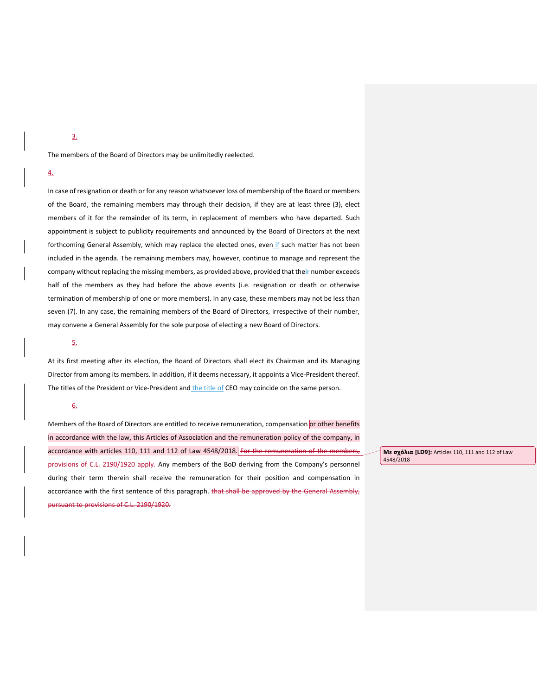3.

The members of the Board of Directors may be unlimitedly reelected.

# 4.

In case of resignation or death or for any reason whatsoever loss of membership of the Board or members of the Board, the remaining members may through their decision, if they are at least three (3), elect members of it for the remainder of its term, in replacement of members who have departed. Such appointment is subject to publicity requirements and announced by the Board of Directors at the next forthcoming General Assembly, which may replace the elected ones, even if such matter has not been included in the agenda. The remaining members may, however, continue to manage and represent the company without replacing the missing members, as provided above, provided that their number exceeds half of the members as they had before the above events (i.e. resignation or death or otherwise termination of membership of one or more members). In any case, these members may not be less than seven (7). In any case, the remaining members of the Board of Directors, irrespective of their number, may convene a General Assembly for the sole purpose of electing a new Board of Directors.

# 5.

At its first meeting after its election, the Board of Directors shall elect its Chairman and its Managing Director from among its members. In addition, if it deems necessary, it appoints a Vice-President thereof. The titles of the President or Vice-President and the title of CEO may coincide on the same person.

# 6.

Members of the Board of Directors are entitled to receive remuneration, compensation or other benefits in accordance with the law, this Articles of Association and the remuneration policy of the company, in accordance with articles 110, 111 and 112 of Law 4548/2018. For the remuneration of the members, provisions of C.L. 2190/1920 apply. Any members of the BoD deriving from the Company's personnel during their term therein shall receive the remuneration for their position and compensation in accordance with the first sentence of this paragraph. that shall be approved by the General Assembly, pursuant to provisions of C.L. 2190/1920.

**Με σχόλια [LD9]:** Articles 110, 111 and 112 of Law 4548/2018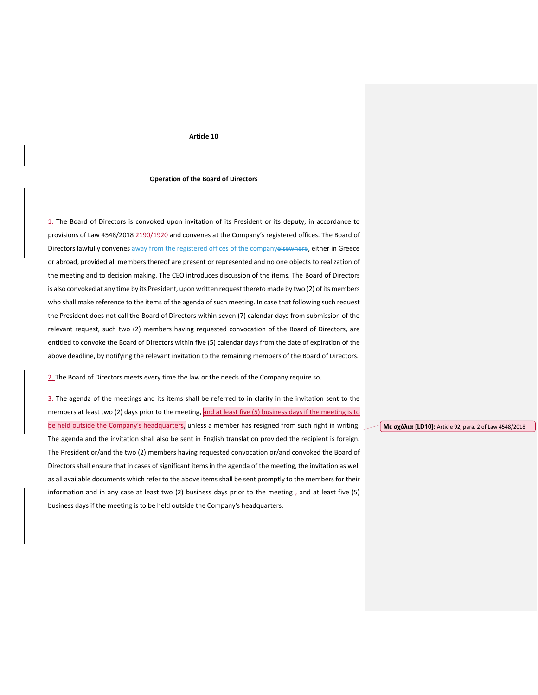#### **Article 10**

#### **Operation of the Board of Directors**

1. The Board of Directors is convoked upon invitation of its President or its deputy, in accordance to provisions of Law 4548/2018 2190/1920 and convenes at the Company's registered offices. The Board of Directors lawfully convenes away from the registered offices of the companyelsewhere, either in Greece or abroad, provided all members thereof are present or represented and no one objects to realization of the meeting and to decision making. The CEO introduces discussion of the items. The Board of Directors is also convoked at any time by its President, upon written request thereto made by two (2) of its members who shall make reference to the items of the agenda of such meeting. In case that following such request the President does not call the Board of Directors within seven (7) calendar days from submission of the relevant request, such two (2) members having requested convocation of the Board of Directors, are entitled to convoke the Board of Directors within five (5) calendar days from the date of expiration of the above deadline, by notifying the relevant invitation to the remaining members of the Board of Directors.

2. The Board of Directors meets every time the law or the needs of the Company require so.

3. The agenda of the meetings and its items shall be referred to in clarity in the invitation sent to the members at least two (2) days prior to the meeting, and at least five (5) business days if the meeting is to be held outside the Company's headquarters, unless a member has resigned from such right in writing. The agenda and the invitation shall also be sent in English translation provided the recipient is foreign. The President or/and the two (2) members having requested convocation or/and convoked the Board of Directors shall ensure that in cases of significant items in the agenda of the meeting, the invitation as well as all available documents which refer to the above items shall be sent promptly to the members for their information and in any case at least two (2) business days prior to the meeting  $\tau$  and at least five (5) business days if the meeting is to be held outside the Company's headquarters.

**Με σχόλια [LD10]:** Article 92, para. 2 of Law 4548/2018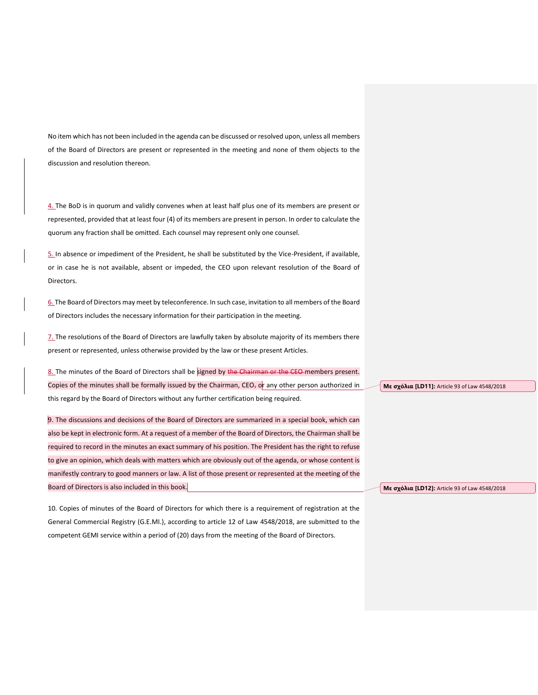No item which has not been included in the agenda can be discussed or resolved upon, unless all members of the Board of Directors are present or represented in the meeting and none of them objects to the discussion and resolution thereon.

4. The BoD is in quorum and validly convenes when at least half plus one of its members are present or represented, provided that at least four (4) of its members are present in person. In order to calculate the quorum any fraction shall be omitted. Each counsel may represent only one counsel.

5. In absence or impediment of the President, he shall be substituted by the Vice-President, if available, or in case he is not available, absent or impeded, the CEO upon relevant resolution of the Board of Directors.

6. The Board of Directors may meet by teleconference. In such case, invitation to all members of the Board of Directors includes the necessary information for their participation in the meeting.

7. The resolutions of the Board of Directors are lawfully taken by absolute majority of its members there present or represented, unless otherwise provided by the law or these present Articles.

8. The minutes of the Board of Directors shall be signed by the Chairman or the CEO-members present. Copies of the minutes shall be formally issued by the Chairman, CEO<sub>7</sub> or any other person authorized in this regard by the Board of Directors without any further certification being required.

9. The discussions and decisions of the Board of Directors are summarized in a special book, which can also be kept in electronic form. At a request of a member of the Board of Directors, the Chairman shall be required to record in the minutes an exact summary of his position. The President has the right to refuse to give an opinion, which deals with matters which are obviously out of the agenda, or whose content is manifestly contrary to good manners or law. A list of those present or represented at the meeting of the Board of Directors is also included in this book.

10. Copies of minutes of the Board of Directors for which there is a requirement of registration at the General Commercial Registry (G.E.MI.), according to article 12 of Law 4548/2018, are submitted to the competent GEMI service within a period of (20) days from the meeting of the Board of Directors.

**Με σχόλια [LD11]:** Article 93 of Law 4548/2018

**Με σχόλια [LD12]:** Article 93 of Law 4548/2018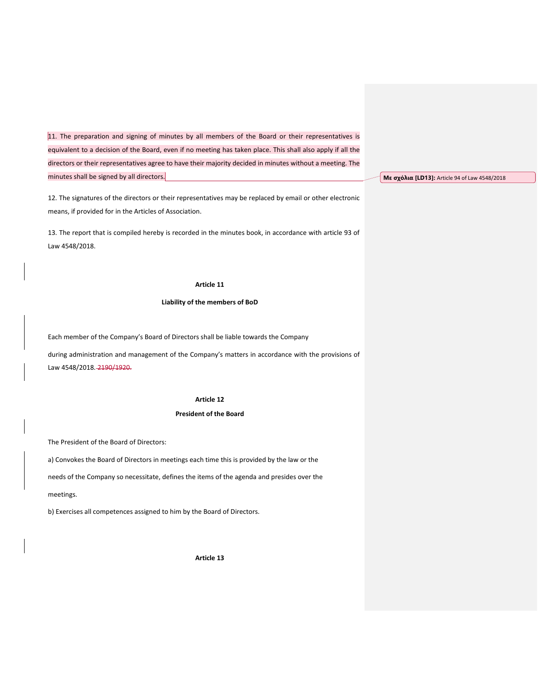11. The preparation and signing of minutes by all members of the Board or their representatives is equivalent to a decision of the Board, even if no meeting has taken place. This shall also apply if all the directors or their representatives agree to have their majority decided in minutes without a meeting. The minutes shall be signed by all directors.

12. The signatures of the directors or their representatives may be replaced by email or other electronic means, if provided for in the Articles of Association.

13. The report that is compiled hereby is recorded in the minutes book, in accordance with article 93 of Law 4548/2018.

# **Article 11**

## **Liability of the members of BoD**

Each member of the Company's Board of Directors shall be liable towards the Company

during administration and management of the Company's matters in accordance with the provisions of Law 4548/2018. 2190/1920.

# **Article 12**

# **President of the Board**

The President of the Board of Directors:

a) Convokes the Board of Directors in meetings each time this is provided by the law or the

needs of the Company so necessitate, defines the items of the agenda and presides over the

#### meetings.

b) Exercises all competences assigned to him by the Board of Directors.

**Article 13**

**Με σχόλια [LD13]:** Article 94 of Law 4548/2018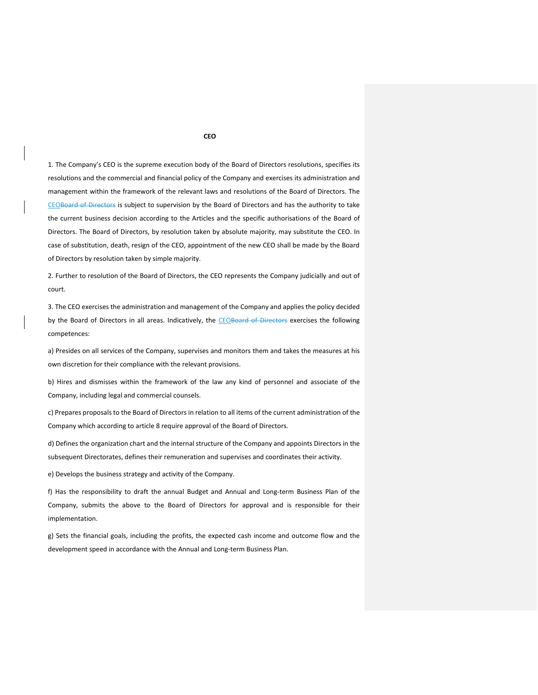1. The Company's CEO is the supreme execution body of the Board of Directors resolutions, specifies its resolutions and the commercial and financial policy of the Company and exercises its administration and management within the framework of the relevant laws and resolutions of the Board of Directors. The CEOBoard of Directors is subject to supervision by the Board of Directors and has the authority to take the current business decision according to the Articles and the specific authorisations of the Board of Directors. The Board of Directors, by resolution taken by absolute majority, may substitute the CEO. In case of substitution, death, resign of the CEO, appointment of the new CEO shall be made by the Board of Directors by resolution taken by simple majority.

2. Further to resolution of the Board of Directors, the CEO represents the Company judicially and out of court.

3. The CEO exercises the administration and management of the Company and applies the policy decided by the Board of Directors in all areas. Indicatively, the CEOBoard of Directors exercises the following competences:

a) Presides on all services of the Company, supervises and monitors them and takes the measures at his own discretion for their compliance with the relevant provisions.

b) Hires and dismisses within the framework of the law any kind of personnel and associate of the Company, including legal and commercial counsels.

c) Prepares proposals to the Board of Directors in relation to all items of the current administration of the Company which according to article 8 require approval of the Board of Directors.

d) Defines the organization chart and the internal structure of the Company and appoints Directors in the subsequent Directorates, defines their remuneration and supervises and coordinates their activity.

e) Develops the business strategy and activity of the Company.

f) Has the responsibility to draft the annual Budget and Annual and Long-term Business Plan of the Company, submits the above to the Board of Directors for approval and is responsible for their implementation.

g) Sets the financial goals, including the profits, the expected cash income and outcome flow and the development speed in accordance with the Annual and Long-term Business Plan.

**CEO**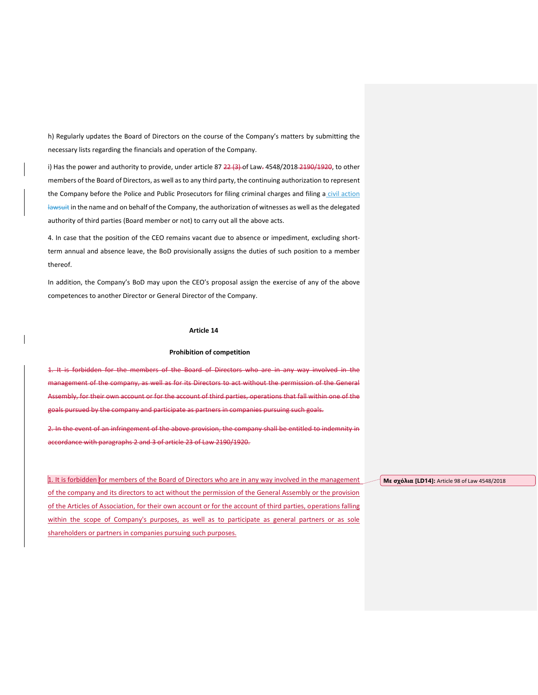h) Regularly updates the Board of Directors on the course of the Company's matters by submitting the necessary lists regarding the financials and operation of the Company.

i) Has the power and authority to provide, under article  $87$   $22$   $(3)$ -of Law- $4548/2018$  $2190/1920$ , to other members of the Board of Directors, as well as to any third party, the continuing authorization to represent the Company before the Police and Public Prosecutors for filing criminal charges and filing a civil action lawsuit in the name and on behalf of the Company, the authorization of witnesses as well as the delegated authority of third parties (Board member or not) to carry out all the above acts.

4. In case that the position of the CEO remains vacant due to absence or impediment, excluding shortterm annual and absence leave, the BoD provisionally assigns the duties of such position to a member thereof.

In addition, the Company's BoD may upon the CEO's proposal assign the exercise of any of the above competences to another Director or General Director of the Company.

### **Article 14**

# **Prohibition of competition**

1. It is forbidden for the members of the Board of Directors who are in any way involved in the management of the company, as well as for its Directors to act without the permission of the General Assembly, for their own account or for the account of third parties, operations that fall within one of the goals pursued by the company and participate as partners in companies pursuing such goals.

2. In the event of an infringement of the above provision, the company shall be entitled to indemnity in accordance with paragraphs 2 and 3 of article 23 of Law 2190/1920.

1. It is forbidden for members of the Board of Directors who are in any way involved in the management of the company and its directors to act without the permission of the General Assembly or the provision of the Articles of Association, for their own account or for the account of third parties, operations falling within the scope of Company's purposes, as well as to participate as general partners or as sole shareholders or partners in companies pursuing such purposes.

**Με σχόλια [LD14]:** Article 98 of Law 4548/2018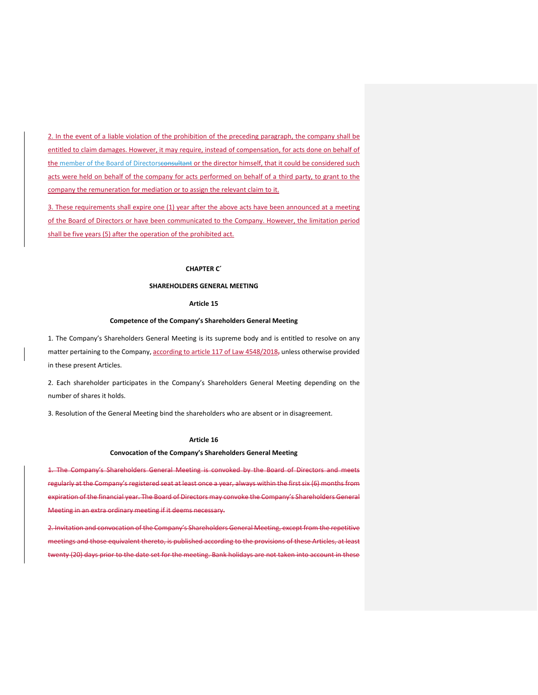2. In the event of a liable violation of the prohibition of the preceding paragraph, the company shall be entitled to claim damages. However, it may require, instead of compensation, for acts done on behalf of the member of the Board of Directorsconsultant or the director himself, that it could be considered such acts were held on behalf of the company for acts performed on behalf of a third party, to grant to the company the remuneration for mediation or to assign the relevant claim to it.

3. These requirements shall expire one (1) year after the above acts have been announced at a meeting of the Board of Directors or have been communicated to the Company. However, the limitation period shall be five years (5) after the operation of the prohibited act.

#### **CHAPTER C΄**

# **SHAREHOLDERS GENERAL MEETING**

# **Article 15**

## **Competence of the Company's Shareholders General Meeting**

1. The Company's Shareholders General Meeting is its supreme body and is entitled to resolve on any matter pertaining to the Company, according to article 117 of Law 4548/2018, unless otherwise provided in these present Articles.

2. Each shareholder participates in the Company's Shareholders General Meeting depending on the number of shares it holds.

3. Resolution of the General Meeting bind the shareholders who are absent or in disagreement.

#### **Article 16**

# **Convocation of the Company's Shareholders General Meeting**

1. The Company's Shareholders General Meeting is convoked by the Board of Directors and meets regularly at the Company's registered seat at least once a year, always within the first six (6) months from expiration of the financial year. The Board of Directors may convoke the Company's Shareholders General Meeting in an extra ordinary meeting if it deems necessary.

2. Invitation and convocation of the Company's Shareholders General Meeting, except from the repetitive meetings and those equivalent thereto, is published according to the provisions of these Articles, at least twenty (20) days prior to the date set for the meeting. Bank holidays are not taken into account in these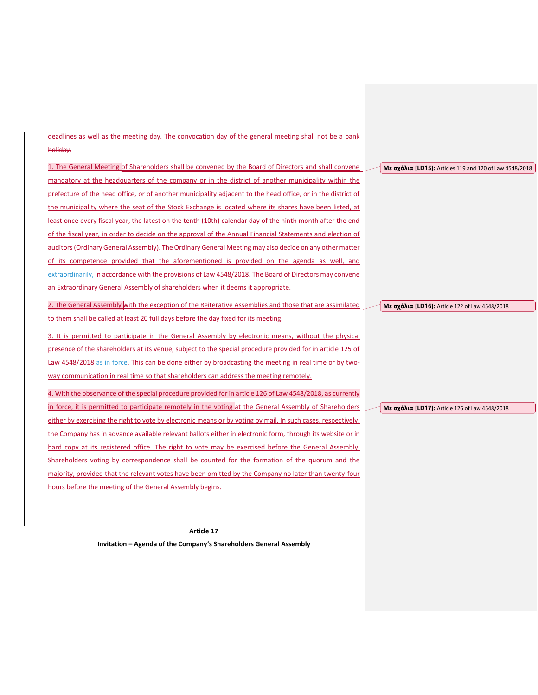deadlines as well as the meeting day. The convocation day of the general meeting shall not be a bank holiday.

| 1. The General Meeting of Shareholders shall be convened by the Board of Directors and shall convene          | Με σχόλια [LD15]: Articles 119 and 120 of Law 4548/2018 |
|---------------------------------------------------------------------------------------------------------------|---------------------------------------------------------|
| mandatory at the headquarters of the company or in the district of another municipality within the            |                                                         |
| prefecture of the head office, or of another municipality adjacent to the head office, or in the district of  |                                                         |
| the municipality where the seat of the Stock Exchange is located where its shares have been listed, at        |                                                         |
| least once every fiscal year, the latest on the tenth (10th) calendar day of the ninth month after the end    |                                                         |
| of the fiscal year, in order to decide on the approval of the Annual Financial Statements and election of     |                                                         |
| auditors (Ordinary General Assembly). The Ordinary General Meeting may also decide on any other matter        |                                                         |
| of its competence provided that the aforementioned is provided on the agenda as well, and                     |                                                         |
| extraordinarily, in accordance with the provisions of Law 4548/2018. The Board of Directors may convene       |                                                         |
| an Extraordinary General Assembly of shareholders when it deems it appropriate.                               |                                                         |
| 2. The General Assembly with the exception of the Reiterative Assemblies and those that are assimilated       | Με σχόλια [LD16]: Article 122 of Law 4548/2018          |
| to them shall be called at least 20 full days before the day fixed for its meeting.                           |                                                         |
| 3. It is permitted to participate in the General Assembly by electronic means, without the physical           |                                                         |
| presence of the shareholders at its venue, subject to the special procedure provided for in article 125 of    |                                                         |
| Law 4548/2018 as in force. This can be done either by broadcasting the meeting in real time or by two-        |                                                         |
| way communication in real time so that shareholders can address the meeting remotely.                         |                                                         |
| 4. With the observance of the special procedure provided for in article 126 of Law 4548/2018, as currently    |                                                         |
| in force, it is permitted to participate remotely in the voting at the General Assembly of Shareholders       | Με σχόλια [LD17]: Article 126 of Law 4548/2018          |
| either by exercising the right to vote by electronic means or by voting by mail. In such cases, respectively, |                                                         |
| the Company has in advance available relevant ballots either in electronic form, through its website or in    |                                                         |
| hard copy at its registered office. The right to vote may be exercised before the General Assembly.           |                                                         |
| Shareholders voting by correspondence shall be counted for the formation of the quorum and the                |                                                         |
| majority, provided that the relevant votes have been omitted by the Company no later than twenty-four         |                                                         |
| hours before the meeting of the General Assembly begins.                                                      |                                                         |
|                                                                                                               |                                                         |

**Article 17**

**Invitation – Agenda of the Company's Shareholders General Assembly**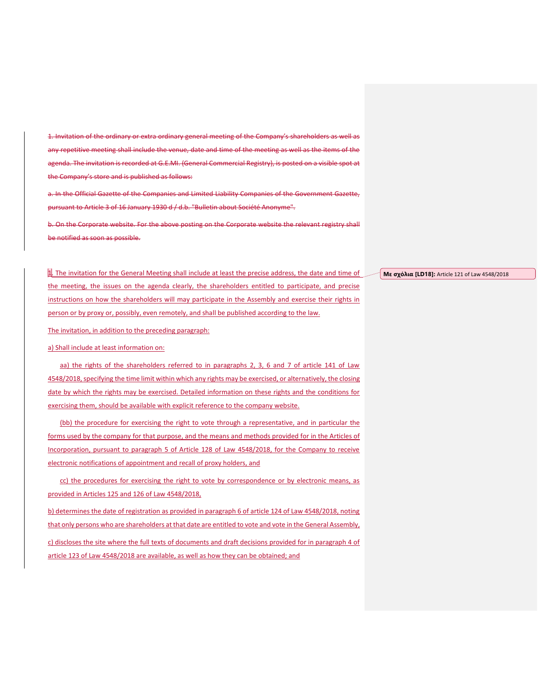1. Invitation of the ordinary or extra ordinary general meeting of the Company's shareholders as well as any repetitive meeting shall include the venue, date and time of the meeting as well as the items of the agenda. The invitation is recorded at G.E.MI. (General Commercial Registry), is posted on a visible spot at the Company's store and is published as follows:

a. In the Official Gazette of the Companies and Limited Liability Companies of the Government Gazette, pursuant to Article 3 of 16 January 1930 d / d.b. "Bulletin about Société Anonyme".

b. On the Corporate website. For the above posting on the Corporate website the relevant registry shall be notified as soon as possible.

1. The invitation for the General Meeting shall include at least the precise address, the date and time of the meeting, the issues on the agenda clearly, the shareholders entitled to participate, and precise instructions on how the shareholders will may participate in the Assembly and exercise their rights in person or by proxy or, possibly, even remotely, and shall be published according to the law.

The invitation, in addition to the preceding paragraph:

a) Shall include at least information on:

aa) the rights of the shareholders referred to in paragraphs 2, 3, 6 and 7 of article 141 of Law 4548/2018, specifying the time limit within which any rights may be exercised, or alternatively, the closing date by which the rights may be exercised. Detailed information on these rights and the conditions for exercising them, should be available with explicit reference to the company website.

(bb) the procedure for exercising the right to vote through a representative, and in particular the forms used by the company for that purpose, and the means and methods provided for in the Articles of Incorporation, pursuant to paragraph 5 of Article 128 of Law 4548/2018, for the Company to receive electronic notifications of appointment and recall of proxy holders, and

cc) the procedures for exercising the right to vote by correspondence or by electronic means, as provided in Articles 125 and 126 of Law 4548/2018,

b) determines the date of registration as provided in paragraph 6 of article 124 of Law 4548/2018, noting that only persons who are shareholders at that date are entitled to vote and vote in the General Assembly, c) discloses the site where the full texts of documents and draft decisions provided for in paragraph 4 of article 123 of Law 4548/2018 are available, as well as how they can be obtained; and

**Με σχόλια [LD18]:** Article 121 of Law 4548/2018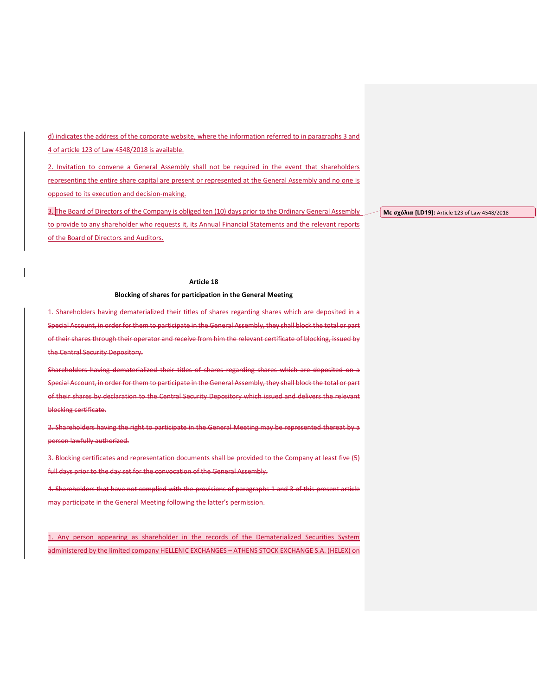d) indicates the address of the corporate website, where the information referred to in paragraphs 3 and 4 of article 123 of Law 4548/2018 is available.

2. Invitation to convene a General Assembly shall not be required in the event that shareholders representing the entire share capital are present or represented at the General Assembly and no one is opposed to its execution and decision-making.

3. The Board of Directors of the Company is obliged ten (10) days prior to the Ordinary General Assembly to provide to any shareholder who requests it, its Annual Financial Statements and the relevant reports of the Board of Directors and Auditors.

**Με σχόλια [LD19]:** Article 123 of Law 4548/2018

# **Article 18**

# **Blocking of shares for participation in the General Meeting**

1. Shareholders having dematerialized their titles of shares regarding shares which are deposited in a Special Account, in order for them to participate in the General Assembly, they shall block the total or part of their shares through their operator and receive from him the relevant certificate of blocking, issued by the Central Security Depository.

Shareholders having dematerialized their titles of shares regarding shares which are deposited on a Special Account, in order for them to participate in the General Assembly, they shall block the total or part of their shares by declaration to the Central Security Depository which issued and delivers the relevant blocking certificate.

2. Shareholders having the right to participate in the General Meeting may be represented thereat by a person lawfully authorized.

3. Blocking certificates and representation documents shall be provided to the Company at least five (5) full days prior to the day set for the convocation of the General Assembly.

4. Shareholders that have not complied with the provisions of paragraphs 1 and 3 of this present article may participate in the General Meeting following the latter's permission.

1. Any person appearing as shareholder in the records of the Dematerialized Securities System administered by the limited company HELLENIC EXCHANGES – ATHENS STOCK EXCHANGE S.A. (HELEX) on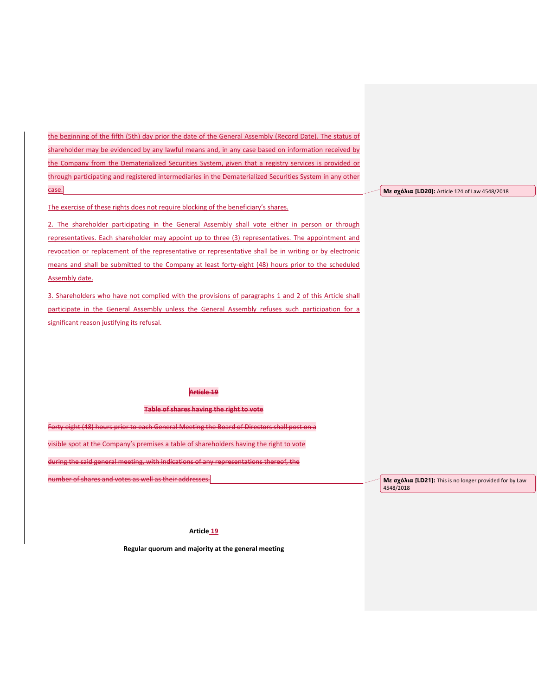the beginning of the fifth (5th) day prior the date of the General Assembly (Record Date). The status of shareholder may be evidenced by any lawful means and, in any case based on information received by the Company from the Dematerialized Securities System, given that a registry services is provided or through participating and registered intermediaries in the Dematerialized Securities System in any other case.

The exercise of these rights does not require blocking of the beneficiary's shares.

2. The shareholder participating in the General Assembly shall vote either in person or through representatives. Each shareholder may appoint up to three (3) representatives. The appointment and revocation or replacement of the representative or representative shall be in writing or by electronic means and shall be submitted to the Company at least forty-eight (48) hours prior to the scheduled Assembly date.

3. Shareholders who have not complied with the provisions of paragraphs 1 and 2 of this Article shall participate in the General Assembly unless the General Assembly refuses such participation for a significant reason justifying its refusal.

# **Article 19**

**Table of shares having the right to vote**

Forty eight (48) hours prior to each General Meeting the Board of Directors shall post on a

visible spot at the Company's premises a table of shareholders having the right to vote

during the said general meeting, with indications of any representations thereof, the

number of shares and votes as well as their addresses.

**Με σχόλια [LD21]:** This is no longer provided for by Law 4548/2018

### **Article 19**

**Regular quorum and majority at the general meeting**

**Με σχόλια [LD20]:** Article 124 of Law 4548/2018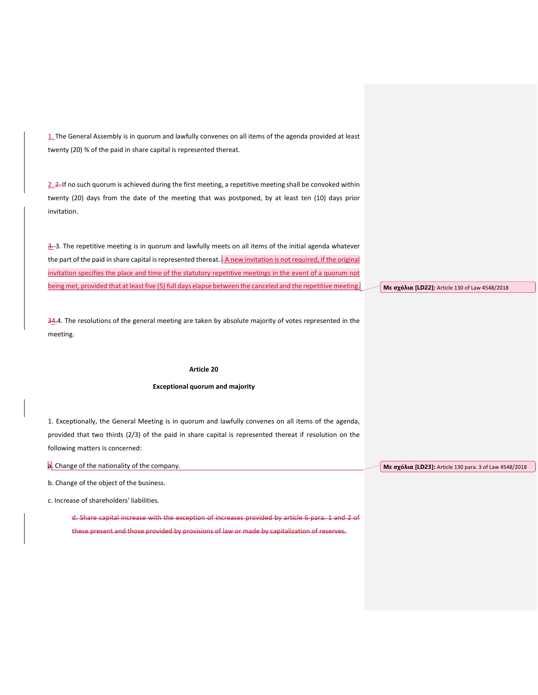1. The General Assembly is in quorum and lawfully convenes on all items of the agenda provided at least twenty (20) % of the paid in share capital is represented thereat.

2. 2. If no such quorum is achieved during the first meeting, a repetitive meeting shall be convoked within twenty (20) days from the date of the meeting that was postponed, by at least ten (10) days prior invitation.

 $\frac{3}{2}$ -3. The repetitive meeting is in quorum and lawfully meets on all items of the initial agenda whatever the part of the paid in share capital is represented thereat.  $\frac{1}{2}$  A new invitation is not required, if the original invitation specifies the place and time of the statutory repetitive meetings in the event of a quorum not being met, provided that at least five (5) full days elapse between the canceled and the repetitive meeting.

34.4. The resolutions of the general meeting are taken by absolute majority of votes represented in the meeting.

## **Article 20**

# **Exceptional quorum and majority**

1. Exceptionally, the General Meeting is in quorum and lawfully convenes on all items of the agenda, provided that two thirds (2/3) of the paid in share capital is represented thereat if resolution on the following matters is concerned:

a. Change of the nationality of the company.

b. Change of the object of the business.

c. Increase of shareholders' liabilities.

d. Share capital increase with the exception of increases provided by article 6 para. 1 and 2 of these present and those provided by provisions of law or made by capitalization of reserves.

**Με σχόλια [LD22]:** Article 130 of Law 4548/2018

**Με σχόλια [LD23]:** Article 130 para. 3 of Law 4548/2018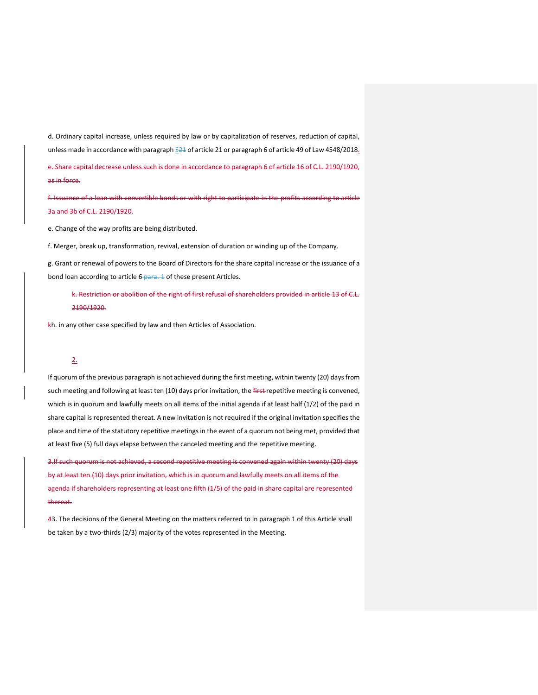d. Ordinary capital increase, unless required by law or by capitalization of reserves, reduction of capital, unless made in accordance with paragraph 521 of article 21 or paragraph 6 of article 49 of Law 4548/2018.

e. Share capital decrease unless such is done in accordance to paragraph 6 of article 16 of C.L. 2190/1920, as in force.

f. Issuance of a loan with convertible bonds or with right to participate in the profits according to article 3a and 3b of C.L. 2190/1920.

e. Change of the way profits are being distributed.

f. Merger, break up, transformation, revival, extension of duration or winding up of the Company.

g. Grant or renewal of powers to the Board of Directors for the share capital increase or the issuance of a bond loan according to article 6-para. 1 of these present Articles.

k. Restriction or abolition of the right of first refusal of shareholders provided in article 13 of C.L. 2190/1920.

kh. in any other case specified by law and then Articles of Association.

# 2.

If quorum of the previous paragraph is not achieved during the first meeting, within twenty (20) days from such meeting and following at least ten (10) days prior invitation, the first-repetitive meeting is convened, which is in quorum and lawfully meets on all items of the initial agenda if at least half (1/2) of the paid in share capital is represented thereat. A new invitation is not required if the original invitation specifies the place and time of the statutory repetitive meetings in the event of a quorum not being met, provided that at least five (5) full days elapse between the canceled meeting and the repetitive meeting.

3.If such quorum is not achieved, a second repetitive meeting is convened again within twenty (20) days by at least ten (10) days prior invitation, which is in quorum and lawfully meets on all items of the agenda if shareholders representing at least one fifth (1/5) of the paid in share capital are represented thereat.

43. The decisions of the General Meeting on the matters referred to in paragraph 1 of this Article shall be taken by a two-thirds (2/3) majority of the votes represented in the Meeting.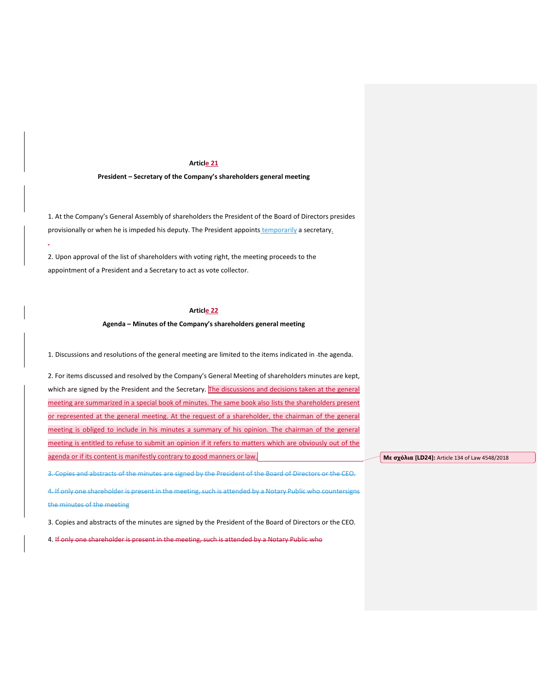# **Article 21**

# **President – Secretary of the Company's shareholders general meeting**

1. At the Company's General Assembly of shareholders the President of the Board of Directors presides provisionally or when he is impeded his deputy. The President appoints temporarily a secretary.

2. Upon approval of the list of shareholders with voting right, the meeting proceeds to the appointment of a President and a Secretary to act as vote collector.

.

# **Article 22**

### **Agenda – Minutes of the Company's shareholders general meeting**

1. Discussions and resolutions of the general meeting are limited to the items indicated in the agenda.

2. For items discussed and resolved by the Company's General Meeting of shareholders minutes are kept, which are signed by the President and the Secretary. The discussions and decisions taken at the general meeting are summarized in a special book of minutes. The same book also lists the shareholders present or represented at the general meeting. At the request of a shareholder, the chairman of the general meeting is obliged to include in his minutes a summary of his opinion. The chairman of the general meeting is entitled to refuse to submit an opinion if it refers to matters which are obviously out of the agenda or if its content is manifestly contrary to good manners or law.

3. Copies and abstracts of the minutes are signed by the President of the Board of Directors or the CEO.

4. If only one shareholder is present in the meeting, such is attended by a Notary Public who countersigns the minutes of the meeting

3. Copies and abstracts of the minutes are signed by the President of the Board of Directors or the CEO.

4. If only one shareholder is present in the meeting, such is attended by a Notary Public who

**Με σχόλια [LD24]:** Article 134 of Law 4548/2018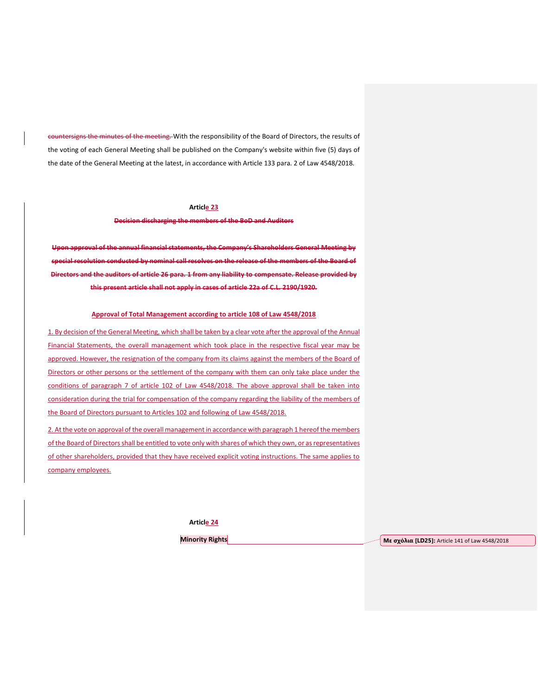countersigns the minutes of the meeting. With the responsibility of the Board of Directors, the results of the voting of each General Meeting shall be published on the Company's website within five (5) days of the date of the General Meeting at the latest, in accordance with Article 133 para. 2 of Law 4548/2018.

# **Article 23**

# **Decision discharging the members of the BoD and Auditors**

**Upon approval of the annual financial statements, the Company's Shareholders General Meeting by special resolution conducted by nominal call resolves on the release of the members of the Board of Directors and the auditors of article 26 para. 1 from any liability to compensate. Release provided by this present article shall not apply in cases of article 22a of C.L. 2190/1920.**

#### **Approval of Total Management according to article 108 of Law 4548/2018**

1. By decision of the General Meeting, which shall be taken by a clear vote after the approval of the Annual Financial Statements, the overall management which took place in the respective fiscal year may be approved. However, the resignation of the company from its claims against the members of the Board of Directors or other persons or the settlement of the company with them can only take place under the conditions of paragraph 7 of article 102 of Law 4548/2018. The above approval shall be taken into consideration during the trial for compensation of the company regarding the liability of the members of the Board of Directors pursuant to Articles 102 and following of Law 4548/2018.

2. At the vote on approval of the overall management in accordance with paragraph 1 hereof the members of the Board of Directors shall be entitled to vote only with shares of which they own, or as representatives of other shareholders, provided that they have received explicit voting instructions. The same applies to company employees.

**Article 24**

**Minority Rights Με σχόλια [LD25]:** Article 141 of Law 4548/2018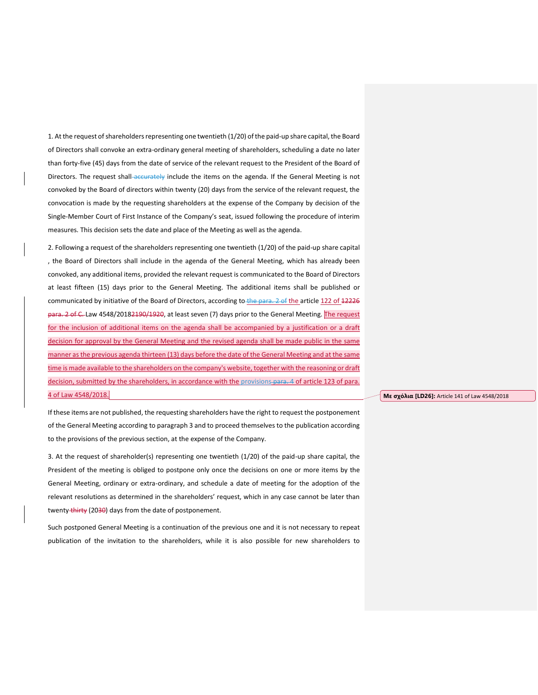1. At the request of shareholders representing one twentieth (1/20) of the paid-up share capital, the Board of Directors shall convoke an extra-ordinary general meeting of shareholders, scheduling a date no later than forty-five (45) days from the date of service of the relevant request to the President of the Board of Directors. The request shall accurately include the items on the agenda. If the General Meeting is not convoked by the Board of directors within twenty (20) days from the service of the relevant request, the convocation is made by the requesting shareholders at the expense of the Company by decision of the Single-Member Court of First Instance of the Company's seat, issued following the procedure of interim measures. This decision sets the date and place of the Meeting as well as the agenda.

2. Following a request of the shareholders representing one twentieth (1/20) of the paid-up share capital , the Board of Directors shall include in the agenda of the General Meeting, which has already been convoked, any additional items, provided the relevant request is communicated to the Board of Directors at least fifteen (15) days prior to the General Meeting. The additional items shall be published or communicated by initiative of the Board of Directors, according to the para. 2 of the article 122 of 12226 para. 2 of C. Law 4548/20182190/1920, at least seven (7) days prior to the General Meeting. The request for the inclusion of additional items on the agenda shall be accompanied by a justification or a draft decision for approval by the General Meeting and the revised agenda shall be made public in the same manner as the previous agenda thirteen (13) days before the date of the General Meeting and at the same time is made available to the shareholders on the company's website, together with the reasoning or draft decision, submitted by the shareholders, in accordance with the provisions-para. 4 of article 123 of para. 4 of Law 4548/2018.

If these items are not published, the requesting shareholders have the right to request the postponement of the General Meeting according to paragraph 3 and to proceed themselves to the publication according to the provisions of the previous section, at the expense of the Company.

3. At the request of shareholder(s) representing one twentieth (1/20) of the paid-up share capital, the President of the meeting is obliged to postpone only once the decisions on one or more items by the General Meeting, ordinary or extra-ordinary, and schedule a date of meeting for the adoption of the relevant resolutions as determined in the shareholders' request, which in any case cannot be later than twenty thirty (2030) days from the date of postponement.

Such postponed General Meeting is a continuation of the previous one and it is not necessary to repeat publication of the invitation to the shareholders, while it is also possible for new shareholders to

**Με σχόλια [LD26]:** Article 141 of Law 4548/2018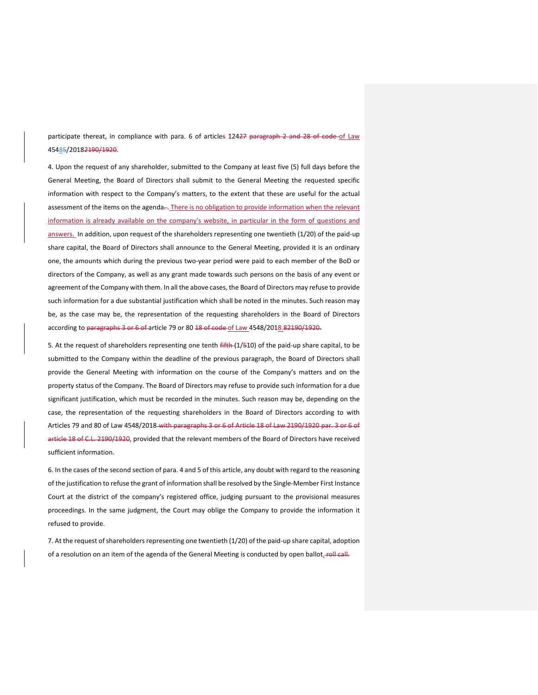participate thereat, in compliance with para. 6 of articles 12427 paragraph 2 and 28 of code of Law 45485/20182190/1920.

4. Upon the request of any shareholder, submitted to the Company at least five (5) full days before the General Meeting, the Board of Directors shall submit to the General Meeting the requested specific information with respect to the Company's matters, to the extent that these are useful for the actual assessment of the items on the agenda-. There is no obligation to provide information when the relevant information is already available on the company's website, in particular in the form of questions and answers. In addition, upon request of the shareholders representing one twentieth (1/20) of the paid-up share capital, the Board of Directors shall announce to the General Meeting, provided it is an ordinary one, the amounts which during the previous two-year period were paid to each member of the BoD or directors of the Company, as well as any grant made towards such persons on the basis of any event or agreement of the Company with them. In all the above cases, the Board of Directors may refuse to provide such information for a due substantial justification which shall be noted in the minutes. Such reason may be, as the case may be, the representation of the requesting shareholders in the Board of Directors according to paragraphs 3 or 6 of article 79 or 80 18 of code of Law 4548/2018.82190/1920.

5. At the request of shareholders representing one tenth  $\frac{f(f + f)}{f}$  and the paid-up share capital, to be submitted to the Company within the deadline of the previous paragraph, the Board of Directors shall provide the General Meeting with information on the course of the Company's matters and on the property status of the Company. The Board of Directors may refuse to provide such information for a due significant justification, which must be recorded in the minutes. Such reason may be, depending on the case, the representation of the requesting shareholders in the Board of Directors according to with Articles 79 and 80 of Law 4548/2018 with paragraphs 3 or 6 of Article 18 of Law 2190/1920 par. 3 or 6 of article 18 of C.L. 2190/1920, provided that the relevant members of the Board of Directors have received sufficient information.

6. In the cases of the second section of para. 4 and 5 of this article, any doubt with regard to the reasoning of the justification to refuse the grant of information shall be resolved by the Single-Member First Instance Court at the district of the company's registered office, judging pursuant to the provisional measures proceedings. In the same judgment, the Court may oblige the Company to provide the information it refused to provide.

7. At the request of shareholders representing one twentieth (1/20) of the paid-up share capital, adoption of a resolution on an item of the agenda of the General Meeting is conducted by open ballot. roll call.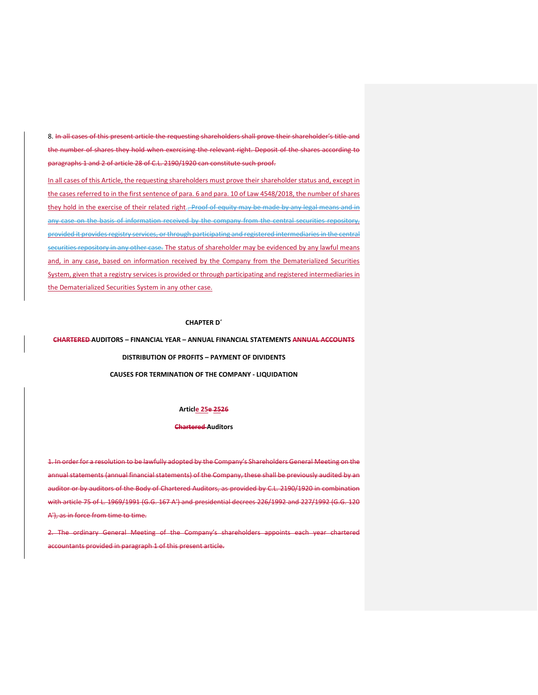8. In all cases of this present article the requesting shareholders shall prove their shareholder's title and the number of shares they hold when exercising the relevant right. Deposit of the shares according to paragraphs 1 and 2 of article 28 of C.L. 2190/1920 can constitute such proof.

In all cases of this Article, the requesting shareholders must prove their shareholder status and, except in the cases referred to in the first sentence of para. 6 and para. 10 of Law 4548/2018, the number of shares they hold in the exercise of their related right. Proof of equity may be made by any legal means and in any case on the basis of information received by the company from the central securities repository, provided it provides registry services, or through participating and registered intermediaries in the central securities repository in any other case. The status of shareholder may be evidenced by any lawful means and, in any case, based on information received by the Company from the Dematerialized Securities System, given that a registry services is provided or through participating and registered intermediaries in the Dematerialized Securities System in any other case.

# **CHAPTER D΄**

**CHARTERED AUDITORS – FINANCIAL YEAR – ANNUAL FINANCIAL STATEMENTS ANNUAL ACCOUNTS**

**DISTRIBUTION OF PROFITS – PAYMENT OF DIVIDENTS**

**CAUSES FOR TERMINATION OF THE COMPANY - LIQUIDATION**

#### **Article 25e 2526**

#### **Chartered Auditors**

1. In order for a resolution to be lawfully adopted by the Company's Shareholders General Meeting on the annual statements (annual financial statements) of the Company, these shall be previously audited by an auditor or by auditors of the Body of Chartered Auditors, as provided by C.L. 2190/1920 in combination with article 75 of L. 1969/1991 (G.G. 167 Α') and presidential decrees 226/1992 and 227/1992 (G.G. 120 A'), as in force from time to time.

2. The ordinary General Meeting of the Company's shareholders appoints each year chartered accountants provided in paragraph 1 of this present article.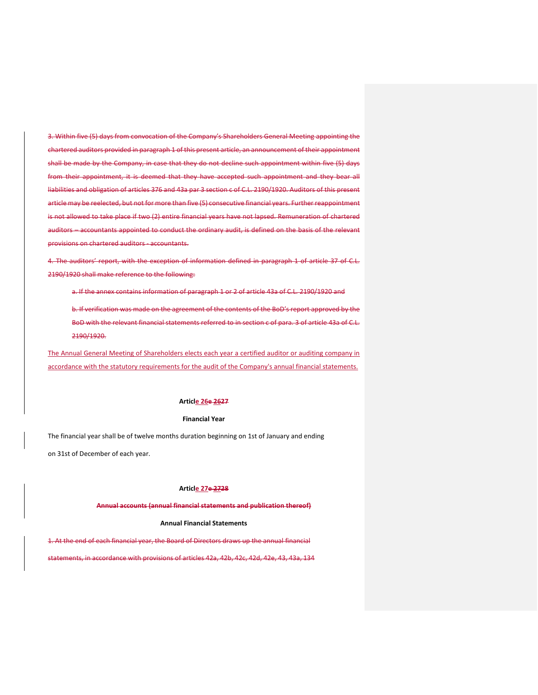3. Within five (5) days from convocation of the Company's Shareholders General Meeting appointing the chartered auditors provided in paragraph 1 of this present article, an announcement of their appointment shall be made by the Company, in case that they do not decline such appointment within five (5) days from their appointment, it is deemed that they have accepted such appointment and they bear all liabilities and obligation of articles 376 and 43a par 3 section c of C.L. 2190/1920. Auditors of this present article may be reelected, but not for more than five (5) consecutive financial years. Further reappointment is not allowed to take place if two (2) entire financial years have not lapsed. Remuneration of chartered auditors – accountants appointed to conduct the ordinary audit, is defined on the basis of the relevant provisions on chartered auditors - accountants.

4. The auditors' report, with the exception of information defined in paragraph 1 of article 37 of C.L. 2190/1920 shall make reference to the following:

a. If the annex contains information of paragraph 1 or 2 of article 43a of C.L. 2190/1920 and

b. If verification was made on the agreement of the contents of the BoD's report approved by the BoD with the relevant financial statements referred to in section c of para. 3 of article 43a of C.L. 2190/1920.

The Annual General Meeting of Shareholders elects each year a certified auditor or auditing company in accordance with the statutory requirements for the audit of the Company's annual financial statements.

### **Article 26e 2627**

#### **Financial Year**

The financial year shall be of twelve months duration beginning on 1st of January and ending on 31st of December of each year.

#### **Article 27e 2728**

**Annual accounts (annual financial statements and publication thereof)**

## **Annual Financial Statements**

1. At the end of each financial year, the Board of Directors draws up the annual financial

statements, in accordance with provisions of articles 42a, 42b, 42c, 42d, 42e, 43, 43a, 134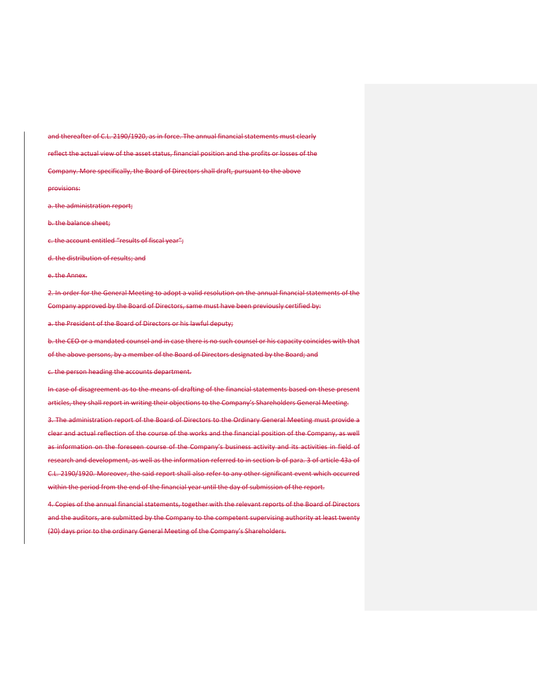and thereafter of C.L. 2190/1920, as in force. The annual financial statements must clearly reflect the actual view of the asset status, financial position and the profits or losses of the Company. More specifically, the Board of Directors shall draft, pursuant to the above provisions: a. the administration report; b. the balance sheet; c. the account entitled "results of fiscal year"; d. the distribution of results; and e. the Annex. 2. In order for the General Meeting to adopt a valid resolution on the annual financial statements of the

Company approved by the Board of Directors, same must have been previously certified by:

a. the President of the Board of Directors or his lawful deputy;

b. the CEO or a mandated counsel and in case there is no such counsel or his capacity coincides with that of the above persons, by a member of the Board of Directors designated by the Board; and

c. the person heading the accounts department.

In case of disagreement as to the means of drafting of the financial statements based on these present articles, they shall report in writing their objections to the Company's Shareholders General Meeting.

3. The administration report of the Board of Directors to the Ordinary General Meeting must provide a clear and actual reflection of the course of the works and the financial position of the Company, as well as information on the foreseen course of the Company's business activity and its activities in field of research and development, as well as the information referred to in section b of para. 3 of article 43a of C.L. 2190/1920. Moreover, the said report shall also refer to any other significant event which occurred within the period from the end of the financial year until the day of submission of the report.

4. Copies of the annual financial statements, together with the relevant reports of the Board of Directors and the auditors, are submitted by the Company to the competent supervising authority at least twenty (20) days prior to the ordinary General Meeting of the Company's Shareholders.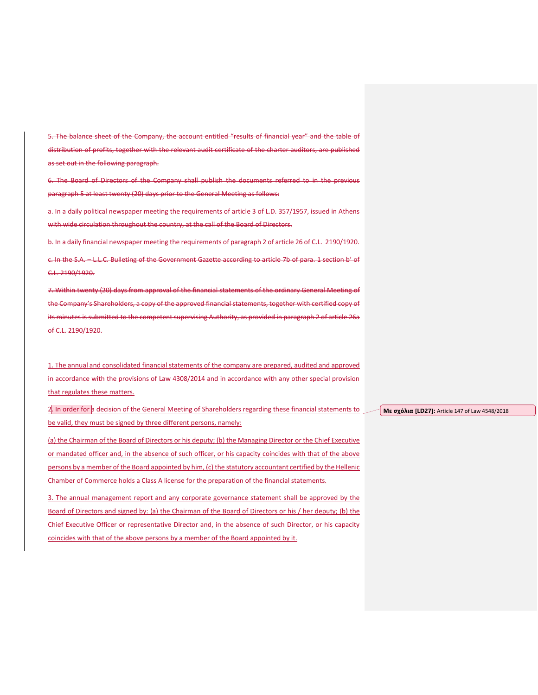5. The balance sheet of the Company, the account entitled "results of financial year" and the table of distribution of profits, together with the relevant audit certificate of the charter auditors, are published as set out in the following paragraph.

6. The Board of Directors of the Company shall publish the documents referred to in the previous paragraph 5 at least twenty (20) days prior to the General Meeting as follows:

a. In a daily political newspaper meeting the requirements of article 3 of L.D. 357/1957, issued in Athens with wide circulation throughout the country, at the call of the Board of Directors.

b. In a daily financial newspaper meeting the requirements of paragraph 2 of article 26 of C.L. 2190/1920.

c. In the S.A. – L.L.C. Bulleting of the Government Gazette according to article 7b of para. 1 section b' of C.L. 2190/1920.

7. Within twenty (20) days from approval of the financial statements of the ordinary General Meeting of the Company's Shareholders, a copy of the approved financial statements, together with certified copy of its minutes is submitted to the competent supervising Authority, as provided in paragraph 2 of article 26a of C.L. 2190/1920.

1. The annual and consolidated financial statements of the company are prepared, audited and approved in accordance with the provisions of Law 4308/2014 and in accordance with any other special provision that regulates these matters.

2. In order for a decision of the General Meeting of Shareholders regarding these financial statements to be valid, they must be signed by three different persons, namely:

(a) the Chairman of the Board of Directors or his deputy; (b) the Managing Director or the Chief Executive or mandated officer and, in the absence of such officer, or his capacity coincides with that of the above persons by a member of the Board appointed by him, (c) the statutory accountant certified by the Hellenic Chamber of Commerce holds a Class A license for the preparation of the financial statements.

3. The annual management report and any corporate governance statement shall be approved by the Board of Directors and signed by: (a) the Chairman of the Board of Directors or his / her deputy; (b) the Chief Executive Officer or representative Director and, in the absence of such Director, or his capacity coincides with that of the above persons by a member of the Board appointed by it.

**Με σχόλια [LD27]:** Article 147 of Law 4548/2018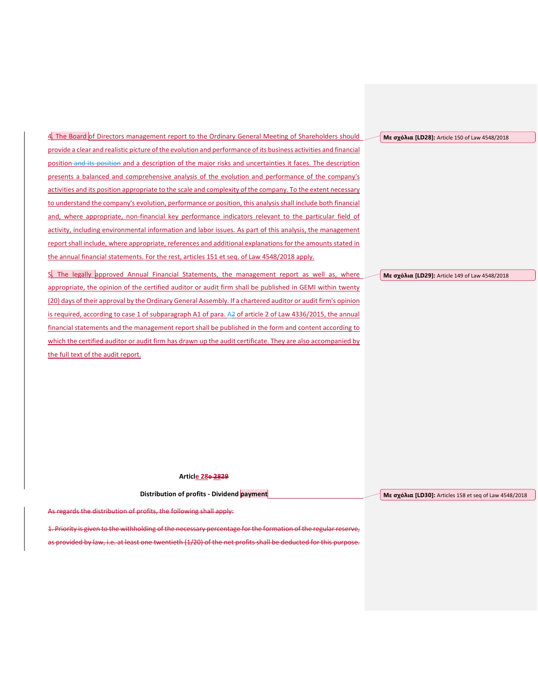**Με σχόλια [LD28]:** Article 150 of Law 4548/2018

4. The Board of Directors management report to the Ordinary General Meeting of Shareholders should provide a clear and realistic picture of the evolution and performance of its business activities and financial position and its position and a description of the major risks and uncertainties it faces. The description presents a balanced and comprehensive analysis of the evolution and performance of the company's activities and its position appropriate to the scale and complexity of the company. To the extent necessary to understand the company's evolution, performance or position, this analysis shall include both financial and, where appropriate, non-financial key performance indicators relevant to the particular field of activity, including environmental information and labor issues. As part of this analysis, the management report shall include, where appropriate, references and additional explanations for the amounts stated in the annual financial statements. For the rest, articles 151 et seq. of Law 4548/2018 apply.

5. The legally approved Annual Financial Statements, the management report as well as, where appropriate, the opinion of the certified auditor or audit firm shall be published in GEMI within twenty (20) days of their approval by the Ordinary General Assembly. If a chartered auditor or audit firm's opinion is required, according to case 1 of subparagraph A1 of para. A2 of article 2 of Law 4336/2015, the annual financial statements and the management report shall be published in the form and content according to which the certified auditor or audit firm has drawn up the audit certificate. They are also accompanied by the full text of the audit report.

**Με σχόλια [LD29]:** Article 149 of Law 4548/2018

**Article 28e 2829**

**Distribution of profits - Dividend payment**

**Με σχόλια [LD30]:** Articles 158 et seq of Law 4548/2018

As regards the distribution of profits, the following shall apply:

1. Priority is given to the withholding of the necessary percentage for the formation of the regular reserve,

as provided by law, i.e. at least one twentieth (1/20) of the net profits shall be deducted for this purpose.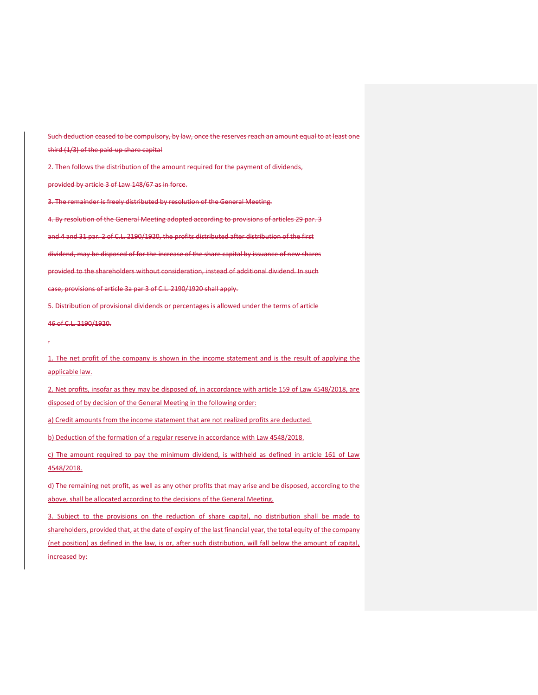Such deduction ceased to be compulsory, by law, once the reserves reach an amount equal to at least one third (1/3) of the paid-up share capital 2. Then follows the distribution of the amount required for the payment of dividends, provided by article 3 of Law 148/67 as in force. 3. The remainder is freely distributed by resolution of the General Meeting. 4. By resolution of the General Meeting adopted according to provisions of articles 29 par. 3

dividend, may be disposed of for the increase of the share capital by issuance of new shares provided to the shareholders without consideration, instead of additional dividend. In such case, provisions of article 3a par 3 of C.L. 2190/1920 shall apply.

and 4 and 31 par. 2 of C.L. 2190/1920, the profits distributed after distribution of the first

5. Distribution of provisional dividends or percentages is allowed under the terms of article 46 of C.L. 2190/1920.

.

1. The net profit of the company is shown in the income statement and is the result of applying the applicable law.

2. Net profits, insofar as they may be disposed of, in accordance with article 159 of Law 4548/2018, are disposed of by decision of the General Meeting in the following order:

a) Credit amounts from the income statement that are not realized profits are deducted.

b) Deduction of the formation of a regular reserve in accordance with Law 4548/2018.

c) The amount required to pay the minimum dividend, is withheld as defined in article 161 of Law 4548/2018.

d) The remaining net profit, as well as any other profits that may arise and be disposed, according to the above, shall be allocated according to the decisions of the General Meeting.

3. Subject to the provisions on the reduction of share capital, no distribution shall be made to shareholders, provided that, at the date of expiry of the last financial year, the total equity of the company (net position) as defined in the law, is or, after such distribution, will fall below the amount of capital, increased by: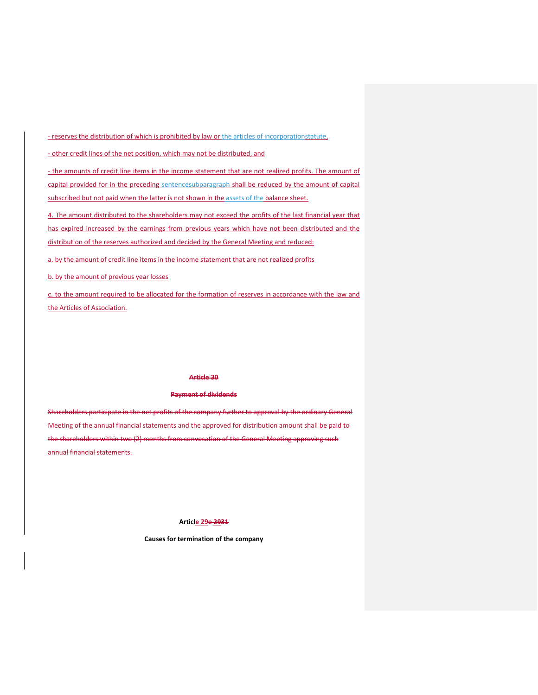- reserves the distribution of which is prohibited by law or the articles of incorporationstatute,

- other credit lines of the net position, which may not be distributed, and

- the amounts of credit line items in the income statement that are not realized profits. The amount of capital provided for in the preceding sentencesubparagraph shall be reduced by the amount of capital subscribed but not paid when the latter is not shown in the assets of the balance sheet.

4. The amount distributed to the shareholders may not exceed the profits of the last financial year that has expired increased by the earnings from previous years which have not been distributed and the distribution of the reserves authorized and decided by the General Meeting and reduced:

a. by the amount of credit line items in the income statement that are not realized profits

b. by the amount of previous year losses

c. to the amount required to be allocated for the formation of reserves in accordance with the law and the Articles of Association.

#### **Article 30**

# **Payment of dividends**

Shareholders participate in the net profits of the company further to approval by the ordinary General Meeting of the annual financial statements and the approved for distribution amount shall be paid to the shareholders within two (2) months from convocation of the General Meeting approving such annual financial statements.

# **Article 29e 2931**

**Causes for termination of the company**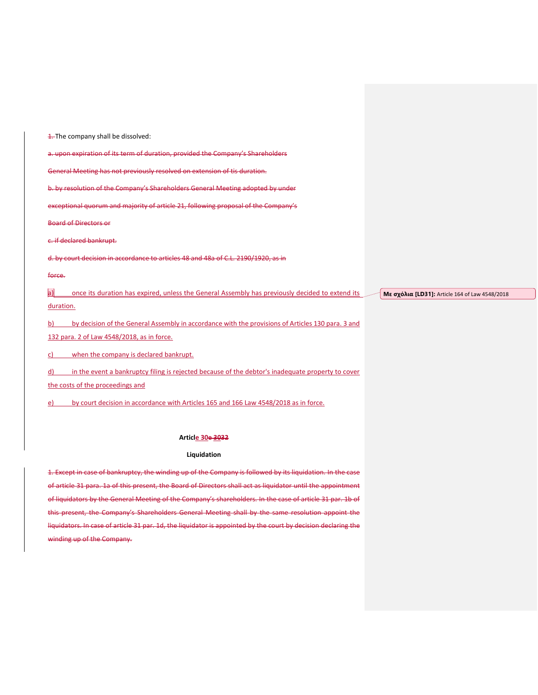**1.** The company shall be dissolved: a. upon expiration of its term of duration, provided the Company's Shareholders General Meeting has not previously resolved on extension of tis duration. b. by resolution of the Company's Shareholders General Meeting adopted by under exceptional quorum and majority of article 21, following proposal of the Company's Board of Directors or c. if declared bankrupt. d. by court decision in accordance to articles 48 and 48a of C.L. 2190/1920, as in force. a) once its duration has expired, unless the General Assembly has previously decided to extend its duration. b) by decision of the General Assembly in accordance with the provisions of Articles 130 para. 3 and 132 para. 2 of Law 4548/2018, as in force. c) when the company is declared bankrupt. d) in the event a bankruptcy filing is rejected because of the debtor's inadequate property to cover **Με σχόλια [LD31]:** Article 164 of Law 4548/2018

the costs of the proceedings and

e) by court decision in accordance with Articles 165 and 166 Law 4548/2018 as in force.

## **Article 30e 3032**

#### **Liquidation**

1. Except in case of bankruptcy, the winding up of the Company is followed by its liquidation. In the case of article 31 para. 1a of this present, the Board of Directors shall act as liquidator until the appointment of liquidators by the General Meeting of the Company's shareholders. In the case of article 31 par. 1b of this present, the Company's Shareholders General Meeting shall by the same resolution appoint the liquidators. In case of article 31 par. 1d, the liquidator is appointed by the court by decision declaring the winding up of the Company.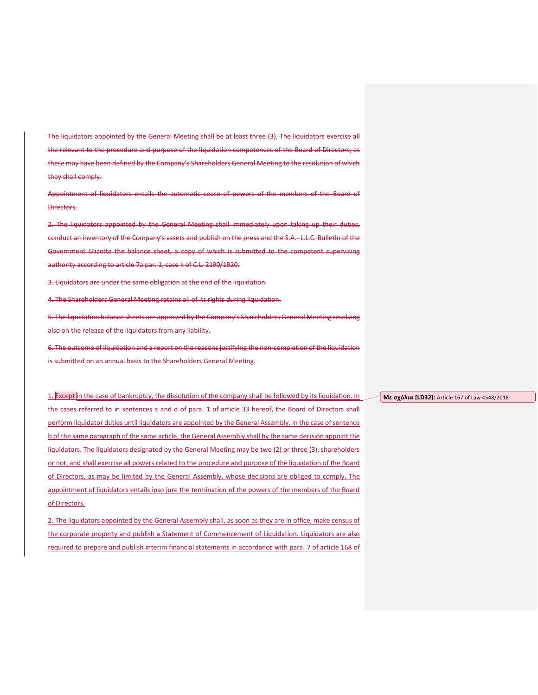The liquidators appointed by the General Meeting shall be at least three (3). The liquidators exercise all the relevant to the procedure and purpose of the liquidation competences of the Board of Directors, as these may have been defined by the Company's Shareholders General Meeting to the resolution of which they shall comply.

Appointment of liquidators entails the automatic cease of powers of the members of the Board of Directors.

2. The liquidators appointed by the General Meeting shall immediately upon taking up their duties, conduct an inventory of the Company's assets and publish on the press and the S.A.- L.L.C. Bulletin of the Government Gazette the balance sheet, a copy of which is submitted to the competent supervising authority according to article 7a par. 1, case k of C.L. 2190/1920.

3. Liquidators are under the same obligation at the end of the liquidation.

4. The Shareholders General Meeting retains all of its rights during liquidation.

5. The liquidation balance sheets are approved by the Company's Shareholders General Meeting resolving also on the release of the liquidators from any liability.

6. The outcome of liquidation and a report on the reasons justifying the non-completion of the liquidation is submitted on an annual basis to the Shareholders General Meeting.

1. Except in the case of bankruptcy, the dissolution of the company shall be followed by its liquidation. In the cases referred to in sentences a and d of para. 1 of article 33 hereof, the Board of Directors shall perform liquidator duties until liquidators are appointed by the General Assembly. In the case of sentence b of the same paragraph of the same article, the General Assembly shall by the same decision appoint the liquidators. The liquidators designated by the General Meeting may be two (2) or three (3), shareholders or not, and shall exercise all powers related to the procedure and purpose of the liquidation of the Board of Directors, as may be limited by the General Assembly, whose decisions are obliged to comply. The appointment of liquidators entails ipso jure the termination of the powers of the members of the Board of Directors.

2. The liquidators appointed by the General Assembly shall, as soon as they are in office, make census of the corporate property and publish a Statement of Commencement of Liquidation. Liquidators are also required to prepare and publish interim financial statements in accordance with para. 7 of article 168 of **Με σχόλια [LD32]:** Article 167 of Law 4548/2018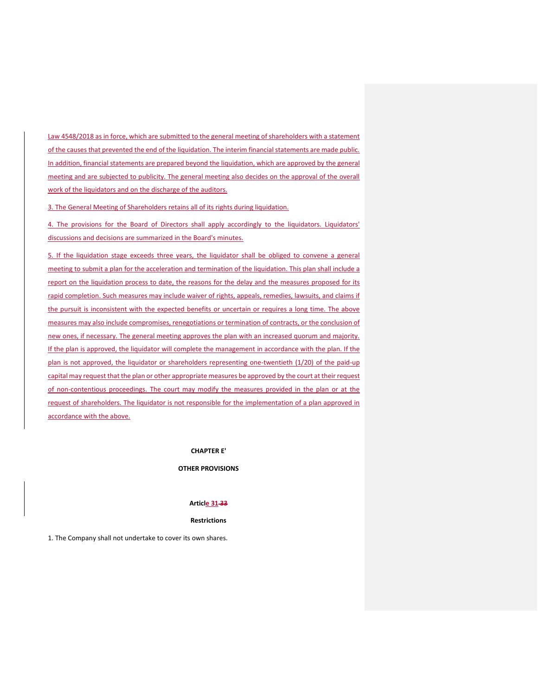Law 4548/2018 as in force, which are submitted to the general meeting of shareholders with a statement of the causes that prevented the end of the liquidation. The interim financial statements are made public. In addition, financial statements are prepared beyond the liquidation, which are approved by the general meeting and are subjected to publicity. The general meeting also decides on the approval of the overall work of the liquidators and on the discharge of the auditors.

3. The General Meeting of Shareholders retains all of its rights during liquidation.

4. The provisions for the Board of Directors shall apply accordingly to the liquidators. Liquidators' discussions and decisions are summarized in the Board's minutes.

5. If the liquidation stage exceeds three years, the liquidator shall be obliged to convene a general meeting to submit a plan for the acceleration and termination of the liquidation. This plan shall include a report on the liquidation process to date, the reasons for the delay and the measures proposed for its rapid completion. Such measures may include waiver of rights, appeals, remedies, lawsuits, and claims if the pursuit is inconsistent with the expected benefits or uncertain or requires a long time. The above measures may also include compromises, renegotiations or termination of contracts, or the conclusion of new ones, if necessary. The general meeting approves the plan with an increased quorum and majority. If the plan is approved, the liquidator will complete the management in accordance with the plan. If the plan is not approved, the liquidator or shareholders representing one-twentieth (1/20) of the paid-up capital may request that the plan or other appropriate measures be approved by the court at their request of non-contentious proceedings. The court may modify the measures provided in the plan or at the request of shareholders. The liquidator is not responsible for the implementation of a plan approved in accordance with the above.

**CHAPTER Ε'**

# **OTHER PROVISIONS**

#### **Article 31 33**

#### **Restrictions**

1. The Company shall not undertake to cover its own shares.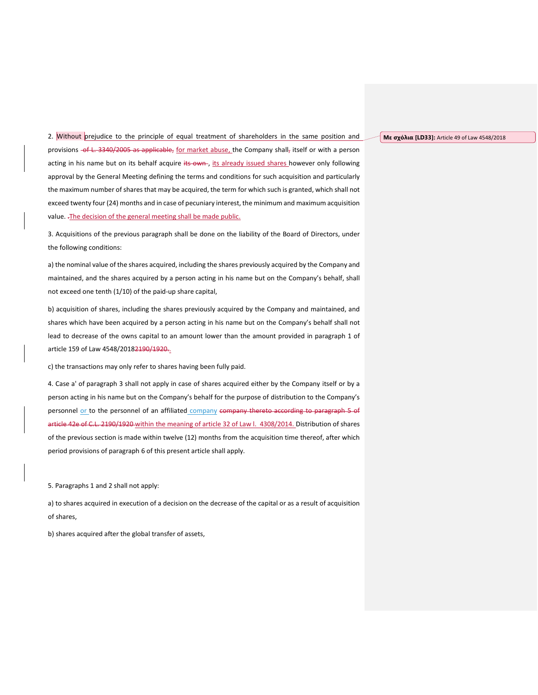**Με σχόλια [LD33]:** Article 49 of Law 4548/2018

2. Without prejudice to the principle of equal treatment of shareholders in the same position and provisions -of L. 3340/2005 as applicable, for market abuse, the Company shall, itself or with a person acting in his name but on its behalf acquire its own, its already issued shares however only following approval by the General Meeting defining the terms and conditions for such acquisition and particularly the maximum number of shares that may be acquired, the term for which such is granted, which shall not exceed twenty four (24) months and in case of pecuniary interest, the minimum and maximum acquisition value. .The decision of the general meeting shall be made public.

3. Acquisitions of the previous paragraph shall be done on the liability of the Board of Directors, under the following conditions:

a) the nominal value of the shares acquired, including the shares previously acquired by the Company and maintained, and the shares acquired by a person acting in his name but on the Company's behalf, shall not exceed one tenth (1/10) of the paid-up share capital,

b) acquisition of shares, including the shares previously acquired by the Company and maintained, and shares which have been acquired by a person acting in his name but on the Company's behalf shall not lead to decrease of the owns capital to an amount lower than the amount provided in paragraph 1 of article 159 of Law 4548/20182190/1920.

c) the transactions may only refer to shares having been fully paid.

4. Case a' of paragraph 3 shall not apply in case of shares acquired either by the Company itself or by a person acting in his name but on the Company's behalf for the purpose of distribution to the Company's personnel or to the personnel of an affiliated company company thereto according to paragraph 5 of article 42e of C.L. 2190/1920 within the meaning of article 32 of Law I. 4308/2014. Distribution of shares of the previous section is made within twelve (12) months from the acquisition time thereof, after which period provisions of paragraph 6 of this present article shall apply.

5. Paragraphs 1 and 2 shall not apply:

a) to shares acquired in execution of a decision on the decrease of the capital or as a result of acquisition of shares,

b) shares acquired after the global transfer of assets,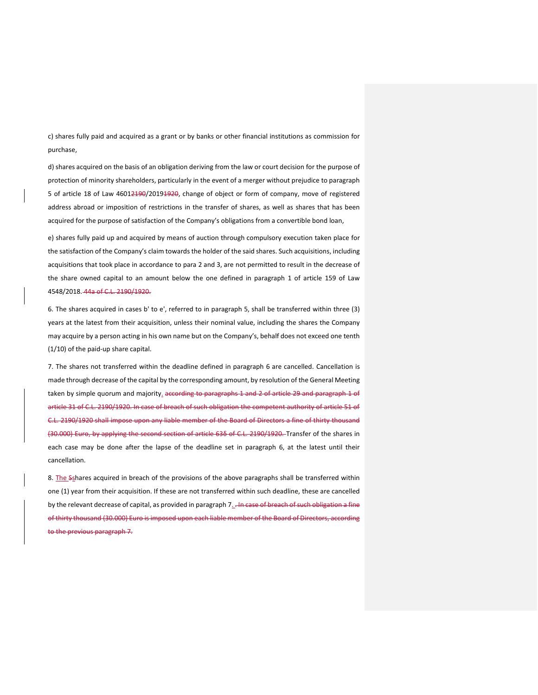c) shares fully paid and acquired as a grant or by banks or other financial institutions as commission for purchase,

d) shares acquired on the basis of an obligation deriving from the law or court decision for the purpose of protection of minority shareholders, particularly in the event of a merger without prejudice to paragraph 5 of article 18 of Law 46012190/20191920, change of object or form of company, move of registered address abroad or imposition of restrictions in the transfer of shares, as well as shares that has been acquired for the purpose of satisfaction of the Company's obligations from a convertible bond loan,

e) shares fully paid up and acquired by means of auction through compulsory execution taken place for the satisfaction of the Company's claim towards the holder of the said shares. Such acquisitions, including acquisitions that took place in accordance to para 2 and 3, are not permitted to result in the decrease of the share owned capital to an amount below the one defined in paragraph 1 of article 159 of Law 4548/2018. 44a of C.L. 2190/1920.

6. The shares acquired in cases b' to e', referred to in paragraph 5, shall be transferred within three (3) years at the latest from their acquisition, unless their nominal value, including the shares the Company may acquire by a person acting in his own name but on the Company's, behalf does not exceed one tenth (1/10) of the paid-up share capital.

7. The shares not transferred within the deadline defined in paragraph 6 are cancelled. Cancellation is made through decrease of the capital by the corresponding amount, by resolution of the General Meeting taken by simple quorum and majority<sub>-</sub> according to paragraphs 1 and 2 of article 29 and paragraph 1 of article 31 of C.L. 2190/1920. In case of breach of such obligation the competent authority of article 51 of C.L. 2190/1920 shall impose upon any liable member of the Board of Directors a fine of thirty thousand (30.000) Euro, by applying the second section of article 63δ of C.L. 2190/1920. Transfer of the shares in each case may be done after the lapse of the deadline set in paragraph 6, at the latest until their cancellation.

8. The Sshares acquired in breach of the provisions of the above paragraphs shall be transferred within one (1) year from their acquisition. If these are not transferred within such deadline, these are cancelled by the relevant decrease of capital, as provided in paragraph 7. . In case of breach of such obligation a fine of thirty thousand (30.000) Euro is imposed upon each liable member of the Board of Directors, according to the previous paragraph 7.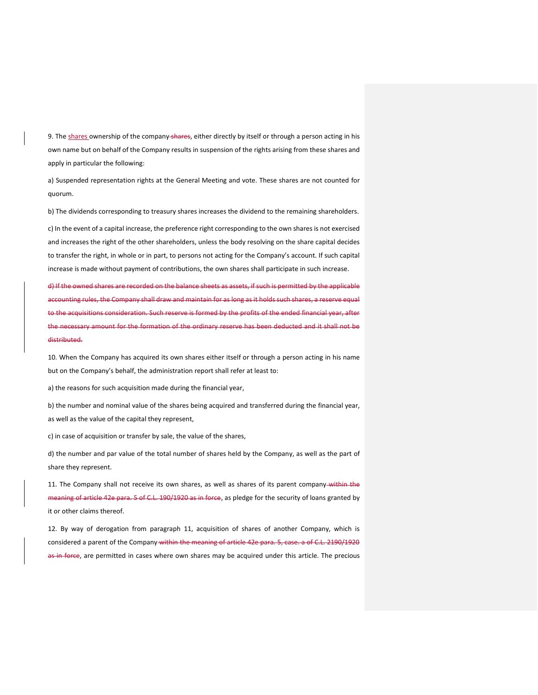9. The shares ownership of the company-shares, either directly by itself or through a person acting in his own name but on behalf of the Company results in suspension of the rights arising from these shares and apply in particular the following:

a) Suspended representation rights at the General Meeting and vote. These shares are not counted for quorum.

b) The dividends corresponding to treasury shares increases the dividend to the remaining shareholders. c) In the event of a capital increase, the preference right corresponding to the own shares is not exercised and increases the right of the other shareholders, unless the body resolving on the share capital decides to transfer the right, in whole or in part, to persons not acting for the Company's account. If such capital increase is made without payment of contributions, the own shares shall participate in such increase.

d) If the owned shares are recorded on the balance sheets as assets, if such is permitted by the applicable accounting rules, the Company shall draw and maintain for as long as it holds such shares, a reserve equal to the acquisitions consideration. Such reserve is formed by the profits of the ended financial year, after the necessary amount for the formation of the ordinary reserve has been deducted and it shall not be distributed.

10. When the Company has acquired its own shares either itself or through a person acting in his name but on the Company's behalf, the administration report shall refer at least to:

a) the reasons for such acquisition made during the financial year,

b) the number and nominal value of the shares being acquired and transferred during the financial year, as well as the value of the capital they represent,

c) in case of acquisition or transfer by sale, the value of the shares,

d) the number and par value of the total number of shares held by the Company, as well as the part of share they represent.

11. The Company shall not receive its own shares, as well as shares of its parent company-within the meaning of article 42e para. 5 of C.L. 190/1920 as in force, as pledge for the security of loans granted by it or other claims thereof.

12. By way of derogation from paragraph 11, acquisition of shares of another Company, which is considered a parent of the Company within the meaning of article 42e para. 5, case, a of C.L. 2190/1920 as in force, are permitted in cases where own shares may be acquired under this article. The precious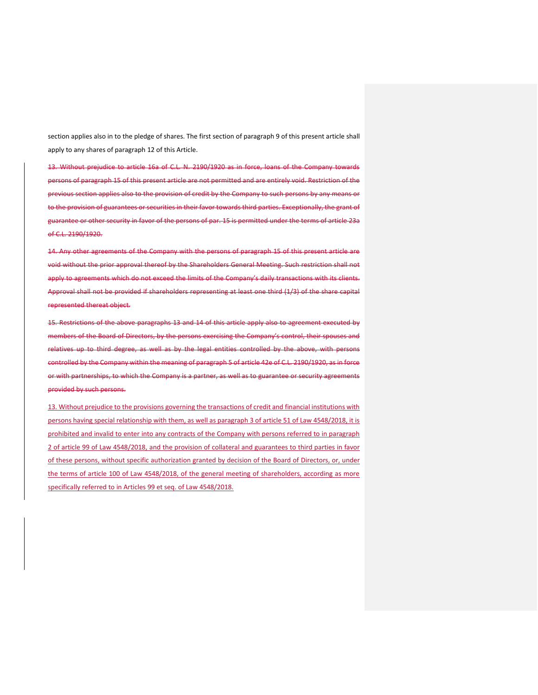section applies also in to the pledge of shares. The first section of paragraph 9 of this present article shall apply to any shares of paragraph 12 of this Article.

13. Without prejudice to article 16a of C.L. N. 2190/1920 as in force, loans of the Company towards persons of paragraph 15 of this present article are not permitted and are entirely void. Restriction of the previous section applies also to the provision of credit by the Company to such persons by any means or to the provision of guarantees or securities in their favor towards third parties. Exceptionally, the grant of guarantee or other security in favor of the persons of par. 15 is permitted under the terms of article 23a of C.L. 2190/1920.

14. Any other agreements of the Company with the persons of paragraph 15 of this present article are void without the prior approval thereof by the Shareholders General Meeting. Such restriction shall not apply to agreements which do not exceed the limits of the Company's daily transactions with its clients. Approval shall not be provided if shareholders representing at least one third (1/3) of the share capital represented thereat object.

15. Restrictions of the above paragraphs 13 and 14 of this article apply also to agreement executed by members of the Board of Directors, by the persons exercising the Company's control, their spouses and relatives up to third degree, as well as by the legal entities controlled by the above, with persons controlled by the Company within the meaning of paragraph 5 of article 42e of C.L. 2190/1920, as in force or with partnerships, to which the Company is a partner, as well as to guarantee or security agreements provided by such persons.

13. Without prejudice to the provisions governing the transactions of credit and financial institutions with persons having special relationship with them, as well as paragraph 3 of article 51 of Law 4548/2018, it is prohibited and invalid to enter into any contracts of the Company with persons referred to in paragraph 2 of article 99 of Law 4548/2018, and the provision of collateral and guarantees to third parties in favor of these persons, without specific authorization granted by decision of the Board of Directors, or, under the terms of article 100 of Law 4548/2018, of the general meeting of shareholders, according as more specifically referred to in Articles 99 et seq. of Law 4548/2018.